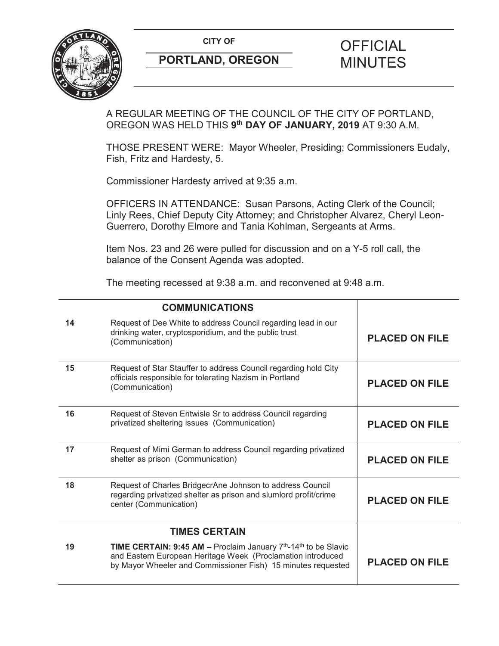**CITY OF CITY OF PICIAL** 



# **PORTLAND, OREGON MINUTES**

# A REGULAR MEETING OF THE COUNCIL OF THE CITY OF PORTLAND, OREGON WAS HELD THIS **9th DAY OF JANUARY, 2019** AT 9:30 A.M.

THOSE PRESENT WERE: Mayor Wheeler, Presiding; Commissioners Eudaly, Fish, Fritz and Hardesty, 5.

Commissioner Hardesty arrived at 9:35 a.m.

OFFICERS IN ATTENDANCE: Susan Parsons, Acting Clerk of the Council; Linly Rees, Chief Deputy City Attorney; and Christopher Alvarez, Cheryl Leon-Guerrero, Dorothy Elmore and Tania Kohlman, Sergeants at Arms.

Item Nos. 23 and 26 were pulled for discussion and on a Y-5 roll call, the balance of the Consent Agenda was adopted.

The meeting recessed at 9:38 a.m. and reconvened at 9:48 a.m.

|    | <b>COMMUNICATIONS</b>                                                                                                                                                                                                        |                       |
|----|------------------------------------------------------------------------------------------------------------------------------------------------------------------------------------------------------------------------------|-----------------------|
| 14 | Request of Dee White to address Council regarding lead in our<br>drinking water, cryptosporidium, and the public trust<br>(Communication)                                                                                    | <b>PLACED ON FILE</b> |
| 15 | Request of Star Stauffer to address Council regarding hold City<br>officials responsible for tolerating Nazism in Portland<br>(Communication)                                                                                | <b>PLACED ON FILE</b> |
| 16 | Request of Steven Entwisle Sr to address Council regarding<br>privatized sheltering issues (Communication)                                                                                                                   | <b>PLACED ON FILE</b> |
| 17 | Request of Mimi German to address Council regarding privatized<br>shelter as prison (Communication)                                                                                                                          | <b>PLACED ON FILE</b> |
| 18 | Request of Charles BridgecrAne Johnson to address Council<br>regarding privatized shelter as prison and slumlord profit/crime<br>center (Communication)                                                                      | <b>PLACED ON FILE</b> |
|    | <b>TIMES CERTAIN</b>                                                                                                                                                                                                         |                       |
| 19 | <b>TIME CERTAIN: 9:45 AM - Proclaim January <math>7th</math>-14<sup>th</sup> to be Slavic</b><br>and Eastern European Heritage Week (Proclamation introduced<br>by Mayor Wheeler and Commissioner Fish) 15 minutes requested | <b>PLACED ON FILE</b> |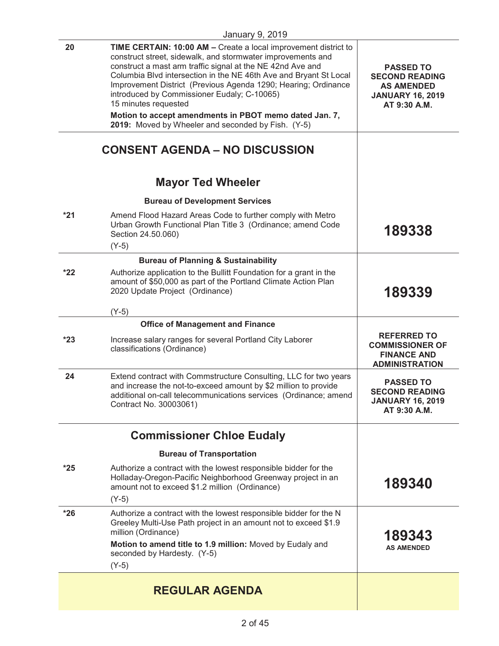|       | <b>January 9, 2019</b>                                                                                                                                                                                                                                                                                                                                                                                                                                               |                                                                                                           |
|-------|----------------------------------------------------------------------------------------------------------------------------------------------------------------------------------------------------------------------------------------------------------------------------------------------------------------------------------------------------------------------------------------------------------------------------------------------------------------------|-----------------------------------------------------------------------------------------------------------|
| 20    | TIME CERTAIN: 10:00 AM - Create a local improvement district to<br>construct street, sidewalk, and stormwater improvements and<br>construct a mast arm traffic signal at the NE 42nd Ave and<br>Columbia Blvd intersection in the NE 46th Ave and Bryant St Local<br>Improvement District (Previous Agenda 1290; Hearing; Ordinance<br>introduced by Commissioner Eudaly; C-10065)<br>15 minutes requested<br>Motion to accept amendments in PBOT memo dated Jan. 7, | <b>PASSED TO</b><br><b>SECOND READING</b><br><b>AS AMENDED</b><br><b>JANUARY 16, 2019</b><br>AT 9:30 A.M. |
|       | 2019: Moved by Wheeler and seconded by Fish. (Y-5)                                                                                                                                                                                                                                                                                                                                                                                                                   |                                                                                                           |
|       | <b>CONSENT AGENDA - NO DISCUSSION</b>                                                                                                                                                                                                                                                                                                                                                                                                                                |                                                                                                           |
|       | <b>Mayor Ted Wheeler</b>                                                                                                                                                                                                                                                                                                                                                                                                                                             |                                                                                                           |
|       | <b>Bureau of Development Services</b>                                                                                                                                                                                                                                                                                                                                                                                                                                |                                                                                                           |
| $*21$ | Amend Flood Hazard Areas Code to further comply with Metro<br>Urban Growth Functional Plan Title 3 (Ordinance; amend Code<br>Section 24.50.060)<br>$(Y-5)$                                                                                                                                                                                                                                                                                                           | 189338                                                                                                    |
|       | <b>Bureau of Planning &amp; Sustainability</b>                                                                                                                                                                                                                                                                                                                                                                                                                       |                                                                                                           |
| $*22$ | Authorize application to the Bullitt Foundation for a grant in the<br>amount of \$50,000 as part of the Portland Climate Action Plan<br>2020 Update Project (Ordinance)                                                                                                                                                                                                                                                                                              | 189339                                                                                                    |
|       | $(Y-5)$                                                                                                                                                                                                                                                                                                                                                                                                                                                              |                                                                                                           |
|       | <b>Office of Management and Finance</b>                                                                                                                                                                                                                                                                                                                                                                                                                              |                                                                                                           |
| $*23$ | Increase salary ranges for several Portland City Laborer<br>classifications (Ordinance)                                                                                                                                                                                                                                                                                                                                                                              | <b>REFERRED TO</b><br><b>COMMISSIONER OF</b><br><b>FINANCE AND</b><br><b>ADMINISTRATION</b>               |
| 24    | Extend contract with Commstructure Consulting, LLC for two years<br>and increase the not-to-exceed amount by \$2 million to provide<br>additional on-call telecommunications services (Ordinance; amend<br>Contract No. 30003061)                                                                                                                                                                                                                                    | <b>PASSED TO</b><br><b>SECOND READING</b><br><b>JANUARY 16, 2019</b><br>AT 9:30 A.M.                      |
|       | <b>Commissioner Chloe Eudaly</b>                                                                                                                                                                                                                                                                                                                                                                                                                                     |                                                                                                           |
|       | <b>Bureau of Transportation</b>                                                                                                                                                                                                                                                                                                                                                                                                                                      |                                                                                                           |
| $*25$ | Authorize a contract with the lowest responsible bidder for the<br>Holladay-Oregon-Pacific Neighborhood Greenway project in an<br>amount not to exceed \$1.2 million (Ordinance)<br>$(Y-5)$                                                                                                                                                                                                                                                                          | 189340                                                                                                    |
| $*26$ | Authorize a contract with the lowest responsible bidder for the N<br>Greeley Multi-Use Path project in an amount not to exceed \$1.9<br>million (Ordinance)<br>Motion to amend title to 1.9 million: Moved by Eudaly and<br>seconded by Hardesty. (Y-5)<br>$(Y-5)$                                                                                                                                                                                                   | 189343<br><b>AS AMENDED</b>                                                                               |
|       | <b>REGULAR AGENDA</b>                                                                                                                                                                                                                                                                                                                                                                                                                                                |                                                                                                           |
|       |                                                                                                                                                                                                                                                                                                                                                                                                                                                                      |                                                                                                           |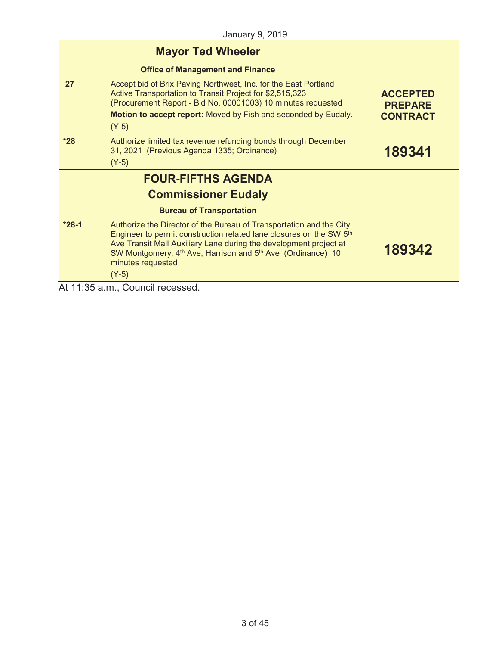|         | <b>Mayor Ted Wheeler</b>                                                                                                                                                                                                                                                                                                                           |                                                      |
|---------|----------------------------------------------------------------------------------------------------------------------------------------------------------------------------------------------------------------------------------------------------------------------------------------------------------------------------------------------------|------------------------------------------------------|
|         | <b>Office of Management and Finance</b>                                                                                                                                                                                                                                                                                                            |                                                      |
| 27      | Accept bid of Brix Paving Northwest, Inc. for the East Portland<br>Active Transportation to Transit Project for \$2,515,323<br>(Procurement Report - Bid No. 00001003) 10 minutes requested<br>Motion to accept report: Moved by Fish and seconded by Eudaly.<br>$(Y-5)$                                                                           | <b>ACCEPTED</b><br><b>PREPARE</b><br><b>CONTRACT</b> |
| $*28$   | Authorize limited tax revenue refunding bonds through December<br>31, 2021 (Previous Agenda 1335; Ordinance)<br>$(Y-5)$                                                                                                                                                                                                                            | 189341                                               |
|         | <b>FOUR-FIFTHS AGENDA</b>                                                                                                                                                                                                                                                                                                                          |                                                      |
|         | <b>Commissioner Eudaly</b>                                                                                                                                                                                                                                                                                                                         |                                                      |
|         | <b>Bureau of Transportation</b>                                                                                                                                                                                                                                                                                                                    |                                                      |
| $*28-1$ | Authorize the Director of the Bureau of Transportation and the City<br>Engineer to permit construction related lane closures on the SW 5 <sup>th</sup><br>Ave Transit Mall Auxiliary Lane during the development project at<br>SW Montgomery, 4 <sup>th</sup> Ave, Harrison and 5 <sup>th</sup> Ave (Ordinance) 10<br>minutes requested<br>$(Y-5)$ | 189342                                               |

At 11:35 a.m., Council recessed.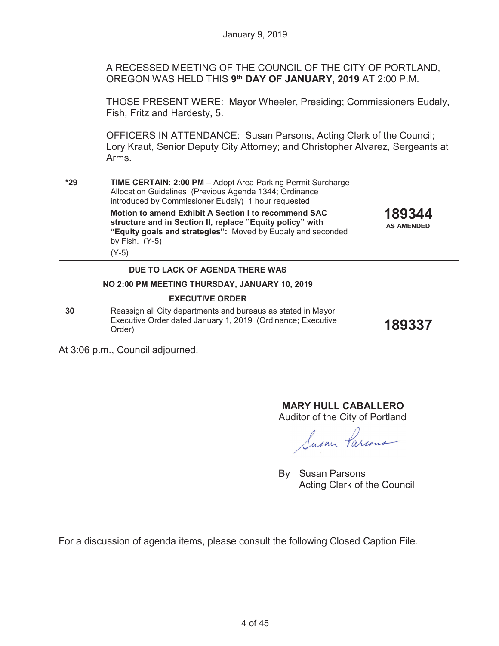A RECESSED MEETING OF THE COUNCIL OF THE CITY OF PORTLAND, OREGON WAS HELD THIS **9th DAY OF JANUARY, 2019** AT 2:00 P.M.

THOSE PRESENT WERE: Mayor Wheeler, Presiding; Commissioners Eudaly, Fish, Fritz and Hardesty, 5.

OFFICERS IN ATTENDANCE: Susan Parsons, Acting Clerk of the Council; Lory Kraut, Senior Deputy City Attorney; and Christopher Alvarez, Sergeants at Arms.

| $*29$ | <b>TIME CERTAIN: 2:00 PM - Adopt Area Parking Permit Surcharge</b><br>Allocation Guidelines (Previous Agenda 1344; Ordinance<br>introduced by Commissioner Eudaly) 1 hour requested                  |                             |
|-------|------------------------------------------------------------------------------------------------------------------------------------------------------------------------------------------------------|-----------------------------|
|       | Motion to amend Exhibit A Section I to recommend SAC<br>structure and in Section II, replace "Equity policy" with<br>"Equity goals and strategies": Moved by Eudaly and seconded<br>by Fish. $(Y-5)$ | 189344<br><b>AS AMENDED</b> |
|       | $(Y-5)$                                                                                                                                                                                              |                             |
|       | DUE TO LACK OF AGENDA THERE WAS                                                                                                                                                                      |                             |
|       | NO 2:00 PM MEETING THURSDAY, JANUARY 10, 2019                                                                                                                                                        |                             |
|       | <b>EXECUTIVE ORDER</b>                                                                                                                                                                               |                             |
| 30    | Reassign all City departments and bureaus as stated in Mayor<br>Executive Order dated January 1, 2019 (Ordinance; Executive<br>Order)                                                                | 189337                      |
|       | $A + 2.06$ n m Council adjourned                                                                                                                                                                     |                             |

At 3:06 p.m., Council adjourned.

# **MARY HULL CABALLERO**

Auditor of the City of Portland

Susan Parcous

By Susan Parsons Acting Clerk of the Council

For a discussion of agenda items, please consult the following Closed Caption File.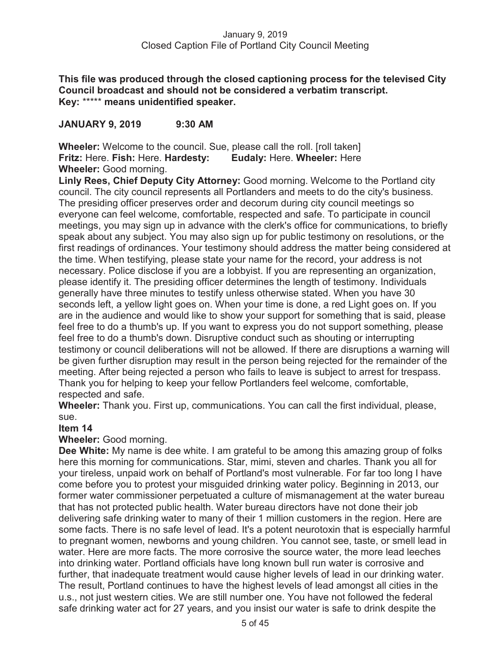**This file was produced through the closed captioning process for the televised City Council broadcast and should not be considered a verbatim transcript. Key:** \*\*\*\*\* **means unidentified speaker.** 

# **JANUARY 9, 2019 9:30 AM**

**Wheeler:** Welcome to the council. Sue, please call the roll. [roll taken] **Fritz:** Here. **Fish:** Here. **Hardesty: Eudaly:** Here. **Wheeler:** Here **Wheeler:** Good morning.

**Linly Rees, Chief Deputy City Attorney:** Good morning. Welcome to the Portland city council. The city council represents all Portlanders and meets to do the city's business. The presiding officer preserves order and decorum during city council meetings so everyone can feel welcome, comfortable, respected and safe. To participate in council meetings, you may sign up in advance with the clerk's office for communications, to briefly speak about any subject. You may also sign up for public testimony on resolutions, or the first readings of ordinances. Your testimony should address the matter being considered at the time. When testifying, please state your name for the record, your address is not necessary. Police disclose if you are a lobbyist. If you are representing an organization, please identify it. The presiding officer determines the length of testimony. Individuals generally have three minutes to testify unless otherwise stated. When you have 30 seconds left, a yellow light goes on. When your time is done, a red Light goes on. If you are in the audience and would like to show your support for something that is said, please feel free to do a thumb's up. If you want to express you do not support something, please feel free to do a thumb's down. Disruptive conduct such as shouting or interrupting testimony or council deliberations will not be allowed. If there are disruptions a warning will be given further disruption may result in the person being rejected for the remainder of the meeting. After being rejected a person who fails to leave is subject to arrest for trespass. Thank you for helping to keep your fellow Portlanders feel welcome, comfortable, respected and safe.

**Wheeler:** Thank you. First up, communications. You can call the first individual, please, sue.

#### **Item 14**

**Wheeler:** Good morning.

**Dee White:** My name is dee white. I am grateful to be among this amazing group of folks here this morning for communications. Star, mimi, steven and charles. Thank you all for your tireless, unpaid work on behalf of Portland's most vulnerable. For far too long I have come before you to protest your misguided drinking water policy. Beginning in 2013, our former water commissioner perpetuated a culture of mismanagement at the water bureau that has not protected public health. Water bureau directors have not done their job delivering safe drinking water to many of their 1 million customers in the region. Here are some facts. There is no safe level of lead. It's a potent neurotoxin that is especially harmful to pregnant women, newborns and young children. You cannot see, taste, or smell lead in water. Here are more facts. The more corrosive the source water, the more lead leeches into drinking water. Portland officials have long known bull run water is corrosive and further, that inadequate treatment would cause higher levels of lead in our drinking water. The result, Portland continues to have the highest levels of lead amongst all cities in the u.s., not just western cities. We are still number one. You have not followed the federal safe drinking water act for 27 years, and you insist our water is safe to drink despite the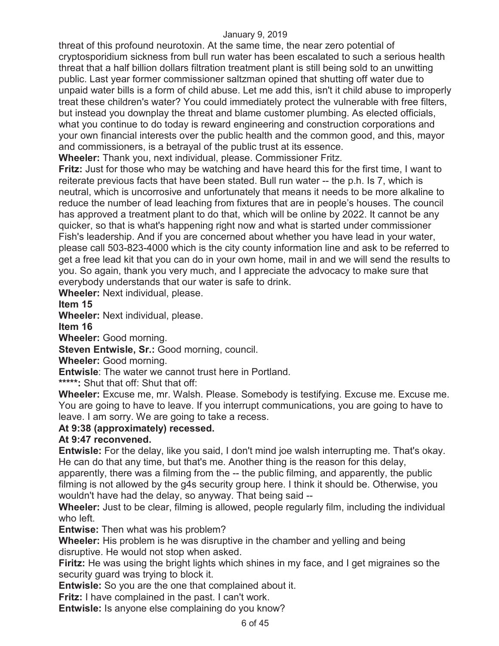threat of this profound neurotoxin. At the same time, the near zero potential of cryptosporidium sickness from bull run water has been escalated to such a serious health threat that a half billion dollars filtration treatment plant is still being sold to an unwitting public. Last year former commissioner saltzman opined that shutting off water due to unpaid water bills is a form of child abuse. Let me add this, isn't it child abuse to improperly treat these children's water? You could immediately protect the vulnerable with free filters, but instead you downplay the threat and blame customer plumbing. As elected officials, what you continue to do today is reward engineering and construction corporations and your own financial interests over the public health and the common good, and this, mayor and commissioners, is a betrayal of the public trust at its essence.

**Wheeler:** Thank you, next individual, please. Commissioner Fritz.

**Fritz:** Just for those who may be watching and have heard this for the first time, I want to reiterate previous facts that have been stated. Bull run water -- the p.h. Is 7, which is neutral, which is uncorrosive and unfortunately that means it needs to be more alkaline to reduce the number of lead leaching from fixtures that are in people's houses. The council has approved a treatment plant to do that, which will be online by 2022. It cannot be any quicker, so that is what's happening right now and what is started under commissioner Fish's leadership. And if you are concerned about whether you have lead in your water, please call 503-823-4000 which is the city county information line and ask to be referred to get a free lead kit that you can do in your own home, mail in and we will send the results to you. So again, thank you very much, and I appreciate the advocacy to make sure that everybody understands that our water is safe to drink.

**Wheeler:** Next individual, please.

**Item 15** 

**Wheeler:** Next individual, please.

**Item 16** 

**Wheeler:** Good morning.

**Steven Entwisle, Sr.: Good morning, council.** 

**Wheeler:** Good morning.

**Entwisle**: The water we cannot trust here in Portland.

**\*\*\*\*\*:** Shut that off: Shut that off:

**Wheeler:** Excuse me, mr. Walsh. Please. Somebody is testifying. Excuse me. Excuse me. You are going to have to leave. If you interrupt communications, you are going to have to leave. I am sorry. We are going to take a recess.

# **At 9:38 (approximately) recessed.**

# **At 9:47 reconvened.**

**Entwisle:** For the delay, like you said, I don't mind joe walsh interrupting me. That's okay. He can do that any time, but that's me. Another thing is the reason for this delay, apparently, there was a filming from the -- the public filming, and apparently, the public filming is not allowed by the g4s security group here. I think it should be. Otherwise, you wouldn't have had the delay, so anyway. That being said --

**Wheeler:** Just to be clear, filming is allowed, people regularly film, including the individual who left.

**Entwise:** Then what was his problem?

**Wheeler:** His problem is he was disruptive in the chamber and yelling and being disruptive. He would not stop when asked.

**Firitz:** He was using the bright lights which shines in my face, and I get migraines so the security guard was trying to block it.

**Entwisle:** So you are the one that complained about it.

**Fritz:** I have complained in the past. I can't work.

**Entwisle:** Is anyone else complaining do you know?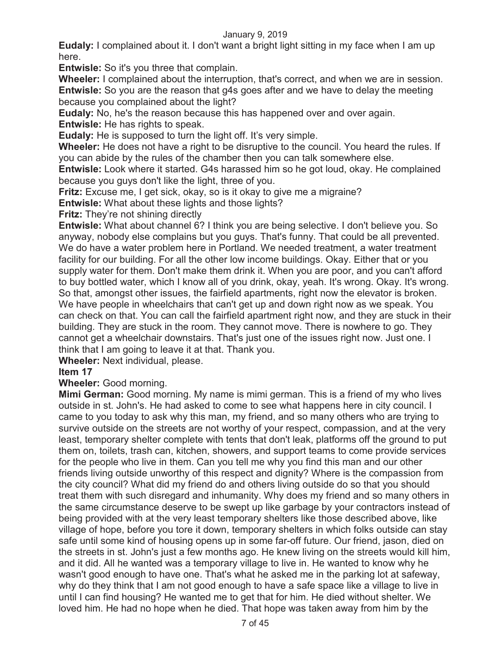**Eudaly:** I complained about it. I don't want a bright light sitting in my face when I am up here.

**Entwisle:** So it's you three that complain.

**Wheeler:** I complained about the interruption, that's correct, and when we are in session. **Entwisle:** So you are the reason that g4s goes after and we have to delay the meeting because you complained about the light?

**Eudaly:** No, he's the reason because this has happened over and over again.

**Entwisle:** He has rights to speak.

**Eudaly:** He is supposed to turn the light off. It's very simple.

**Wheeler:** He does not have a right to be disruptive to the council. You heard the rules. If you can abide by the rules of the chamber then you can talk somewhere else.

**Entwisle:** Look where it started. G4s harassed him so he got loud, okay. He complained because you guys don't like the light, three of you.

**Fritz:** Excuse me, I get sick, okay, so is it okay to give me a migraine?

**Entwisle:** What about these lights and those lights?

**Fritz:** They're not shining directly

**Entwisle:** What about channel 6? I think you are being selective. I don't believe you. So anyway, nobody else complains but you guys. That's funny. That could be all prevented. We do have a water problem here in Portland. We needed treatment, a water treatment facility for our building. For all the other low income buildings. Okay. Either that or you supply water for them. Don't make them drink it. When you are poor, and you can't afford to buy bottled water, which I know all of you drink, okay, yeah. It's wrong. Okay. It's wrong. So that, amongst other issues, the fairfield apartments, right now the elevator is broken. We have people in wheelchairs that can't get up and down right now as we speak. You can check on that. You can call the fairfield apartment right now, and they are stuck in their building. They are stuck in the room. They cannot move. There is nowhere to go. They cannot get a wheelchair downstairs. That's just one of the issues right now. Just one. I think that I am going to leave it at that. Thank you.

**Wheeler:** Next individual, please.

# **Item 17**

**Wheeler:** Good morning.

**Mimi German:** Good morning. My name is mimi german. This is a friend of my who lives outside in st. John's. He had asked to come to see what happens here in city council. I came to you today to ask why this man, my friend, and so many others who are trying to survive outside on the streets are not worthy of your respect, compassion, and at the very least, temporary shelter complete with tents that don't leak, platforms off the ground to put them on, toilets, trash can, kitchen, showers, and support teams to come provide services for the people who live in them. Can you tell me why you find this man and our other friends living outside unworthy of this respect and dignity? Where is the compassion from the city council? What did my friend do and others living outside do so that you should treat them with such disregard and inhumanity. Why does my friend and so many others in the same circumstance deserve to be swept up like garbage by your contractors instead of being provided with at the very least temporary shelters like those described above, like village of hope, before you tore it down, temporary shelters in which folks outside can stay safe until some kind of housing opens up in some far-off future. Our friend, jason, died on the streets in st. John's just a few months ago. He knew living on the streets would kill him, and it did. All he wanted was a temporary village to live in. He wanted to know why he wasn't good enough to have one. That's what he asked me in the parking lot at safeway, why do they think that I am not good enough to have a safe space like a village to live in until I can find housing? He wanted me to get that for him. He died without shelter. We loved him. He had no hope when he died. That hope was taken away from him by the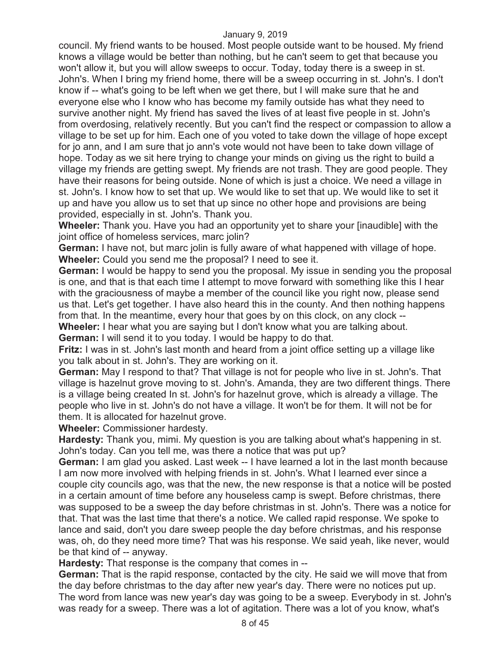council. My friend wants to be housed. Most people outside want to be housed. My friend knows a village would be better than nothing, but he can't seem to get that because you won't allow it, but you will allow sweeps to occur. Today, today there is a sweep in st. John's. When I bring my friend home, there will be a sweep occurring in st. John's. I don't know if -- what's going to be left when we get there, but I will make sure that he and everyone else who I know who has become my family outside has what they need to survive another night. My friend has saved the lives of at least five people in st. John's from overdosing, relatively recently. But you can't find the respect or compassion to allow a village to be set up for him. Each one of you voted to take down the village of hope except for jo ann, and I am sure that jo ann's vote would not have been to take down village of hope. Today as we sit here trying to change your minds on giving us the right to build a village my friends are getting swept. My friends are not trash. They are good people. They have their reasons for being outside. None of which is just a choice. We need a village in st. John's. I know how to set that up. We would like to set that up. We would like to set it up and have you allow us to set that up since no other hope and provisions are being provided, especially in st. John's. Thank you.

**Wheeler:** Thank you. Have you had an opportunity yet to share your [inaudible] with the joint office of homeless services, marc jolin?

**German:** I have not, but marc jolin is fully aware of what happened with village of hope. **Wheeler:** Could you send me the proposal? I need to see it.

**German:** I would be happy to send you the proposal. My issue in sending you the proposal is one, and that is that each time I attempt to move forward with something like this I hear with the graciousness of maybe a member of the council like you right now, please send us that. Let's get together. I have also heard this in the county. And then nothing happens from that. In the meantime, every hour that goes by on this clock, on any clock -- **Wheeler:** I hear what you are saying but I don't know what you are talking about.

**German:** I will send it to you today. I would be happy to do that.

**Fritz:** I was in st. John's last month and heard from a joint office setting up a village like you talk about in st. John's. They are working on it.

**German:** May I respond to that? That village is not for people who live in st. John's. That village is hazelnut grove moving to st. John's. Amanda, they are two different things. There is a village being created In st. John's for hazelnut grove, which is already a village. The people who live in st. John's do not have a village. It won't be for them. It will not be for them. It is allocated for hazelnut grove.

**Wheeler:** Commissioner hardesty.

**Hardesty:** Thank you, mimi. My question is you are talking about what's happening in st. John's today. Can you tell me, was there a notice that was put up?

**German:** I am glad you asked. Last week -- I have learned a lot in the last month because I am now more involved with helping friends in st. John's. What I learned ever since a couple city councils ago, was that the new, the new response is that a notice will be posted in a certain amount of time before any houseless camp is swept. Before christmas, there was supposed to be a sweep the day before christmas in st. John's. There was a notice for that. That was the last time that there's a notice. We called rapid response. We spoke to lance and said, don't you dare sweep people the day before christmas, and his response was, oh, do they need more time? That was his response. We said yeah, like never, would be that kind of -- anyway.

**Hardesty:** That response is the company that comes in --

**German:** That is the rapid response, contacted by the city. He said we will move that from the day before christmas to the day after new year's day. There were no notices put up. The word from lance was new year's day was going to be a sweep. Everybody in st. John's was ready for a sweep. There was a lot of agitation. There was a lot of you know, what's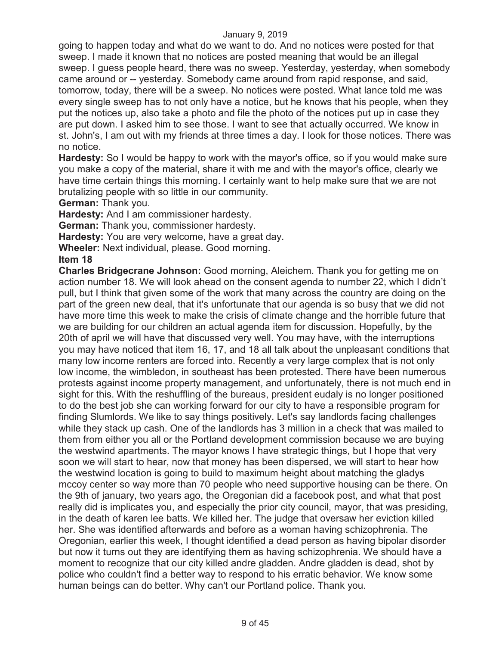going to happen today and what do we want to do. And no notices were posted for that sweep. I made it known that no notices are posted meaning that would be an illegal sweep. I guess people heard, there was no sweep. Yesterday, yesterday, when somebody came around or -- yesterday. Somebody came around from rapid response, and said, tomorrow, today, there will be a sweep. No notices were posted. What lance told me was every single sweep has to not only have a notice, but he knows that his people, when they put the notices up, also take a photo and file the photo of the notices put up in case they are put down. I asked him to see those. I want to see that actually occurred. We know in st. John's, I am out with my friends at three times a day. I look for those notices. There was no notice.

**Hardesty:** So I would be happy to work with the mayor's office, so if you would make sure you make a copy of the material, share it with me and with the mayor's office, clearly we have time certain things this morning. I certainly want to help make sure that we are not brutalizing people with so little in our community.

**German:** Thank you.

**Hardesty:** And I am commissioner hardesty.

**German:** Thank you, commissioner hardesty.

**Hardesty:** You are very welcome, have a great day.

**Wheeler:** Next individual, please. Good morning.

**Item 18** 

**Charles Bridgecrane Johnson:** Good morning, Aleichem. Thank you for getting me on action number 18. We will look ahead on the consent agenda to number 22, which I didn't pull, but I think that given some of the work that many across the country are doing on the part of the green new deal, that it's unfortunate that our agenda is so busy that we did not have more time this week to make the crisis of climate change and the horrible future that we are building for our children an actual agenda item for discussion. Hopefully, by the 20th of april we will have that discussed very well. You may have, with the interruptions you may have noticed that item 16, 17, and 18 all talk about the unpleasant conditions that many low income renters are forced into. Recently a very large complex that is not only low income, the wimbledon, in southeast has been protested. There have been numerous protests against income property management, and unfortunately, there is not much end in sight for this. With the reshuffling of the bureaus, president eudaly is no longer positioned to do the best job she can working forward for our city to have a responsible program for finding Slumlords. We like to say things positively. Let's say landlords facing challenges while they stack up cash. One of the landlords has 3 million in a check that was mailed to them from either you all or the Portland development commission because we are buying the westwind apartments. The mayor knows I have strategic things, but I hope that very soon we will start to hear, now that money has been dispersed, we will start to hear how the westwind location is going to build to maximum height about matching the gladys mccoy center so way more than 70 people who need supportive housing can be there. On the 9th of january, two years ago, the Oregonian did a facebook post, and what that post really did is implicates you, and especially the prior city council, mayor, that was presiding, in the death of karen lee batts. We killed her. The judge that oversaw her eviction killed her. She was identified afterwards and before as a woman having schizophrenia. The Oregonian, earlier this week, I thought identified a dead person as having bipolar disorder but now it turns out they are identifying them as having schizophrenia. We should have a moment to recognize that our city killed andre gladden. Andre gladden is dead, shot by police who couldn't find a better way to respond to his erratic behavior. We know some human beings can do better. Why can't our Portland police. Thank you.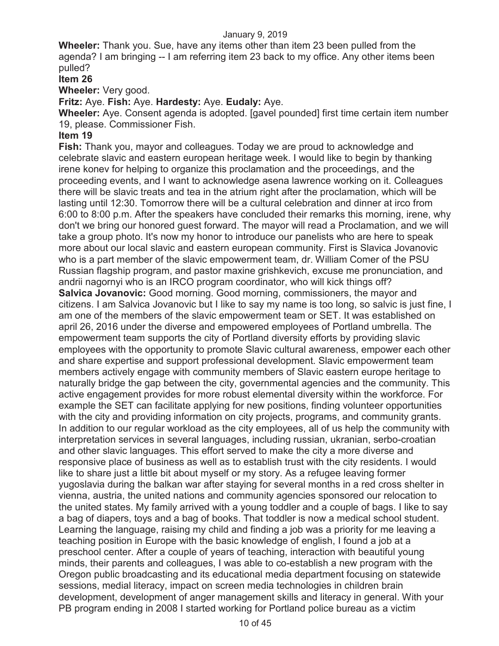**Wheeler:** Thank you. Sue, have any items other than item 23 been pulled from the agenda? I am bringing -- I am referring item 23 back to my office. Any other items been pulled?

### **Item 26**

**Wheeler:** Very good.

**Fritz:** Aye. **Fish:** Aye. **Hardesty:** Aye. **Eudaly:** Aye.

**Wheeler:** Aye. Consent agenda is adopted. [gavel pounded] first time certain item number 19, please. Commissioner Fish.

### **Item 19**

**Fish:** Thank you, mayor and colleagues. Today we are proud to acknowledge and celebrate slavic and eastern european heritage week. I would like to begin by thanking irene konev for helping to organize this proclamation and the proceedings, and the proceeding events, and I want to acknowledge asena lawrence working on it. Colleagues there will be slavic treats and tea in the atrium right after the proclamation, which will be lasting until 12:30. Tomorrow there will be a cultural celebration and dinner at irco from 6:00 to 8:00 p.m. After the speakers have concluded their remarks this morning, irene, why don't we bring our honored guest forward. The mayor will read a Proclamation, and we will take a group photo. It's now my honor to introduce our panelists who are here to speak more about our local slavic and eastern european community. First is Slavica Jovanovic who is a part member of the slavic empowerment team, dr. William Comer of the PSU Russian flagship program, and pastor maxine grishkevich, excuse me pronunciation, and andrii nagornyi who is an IRCO program coordinator, who will kick things off? **Salvica Jovanovic:** Good morning. Good morning, commissioners, the mayor and citizens. I am Salvica Jovanovic but I like to say my name is too long, so salvic is just fine, I am one of the members of the slavic empowerment team or SET. It was established on april 26, 2016 under the diverse and empowered employees of Portland umbrella. The empowerment team supports the city of Portland diversity efforts by providing slavic employees with the opportunity to promote Slavic cultural awareness, empower each other and share expertise and support professional development. Slavic empowerment team members actively engage with community members of Slavic eastern europe heritage to naturally bridge the gap between the city, governmental agencies and the community. This active engagement provides for more robust elemental diversity within the workforce. For example the SET can facilitate applying for new positions, finding volunteer opportunities with the city and providing information on city projects, programs, and community grants. In addition to our regular workload as the city employees, all of us help the community with interpretation services in several languages, including russian, ukranian, serbo-croatian and other slavic languages. This effort served to make the city a more diverse and responsive place of business as well as to establish trust with the city residents. I would like to share just a little bit about myself or my story. As a refugee leaving former yugoslavia during the balkan war after staying for several months in a red cross shelter in vienna, austria, the united nations and community agencies sponsored our relocation to the united states. My family arrived with a young toddler and a couple of bags. I like to say a bag of diapers, toys and a bag of books. That toddler is now a medical school student. Learning the language, raising my child and finding a job was a priority for me leaving a teaching position in Europe with the basic knowledge of english, I found a job at a preschool center. After a couple of years of teaching, interaction with beautiful young minds, their parents and colleagues, I was able to co-establish a new program with the Oregon public broadcasting and its educational media department focusing on statewide sessions, medial literacy, impact on screen media technologies in children brain development, development of anger management skills and literacy in general. With your PB program ending in 2008 I started working for Portland police bureau as a victim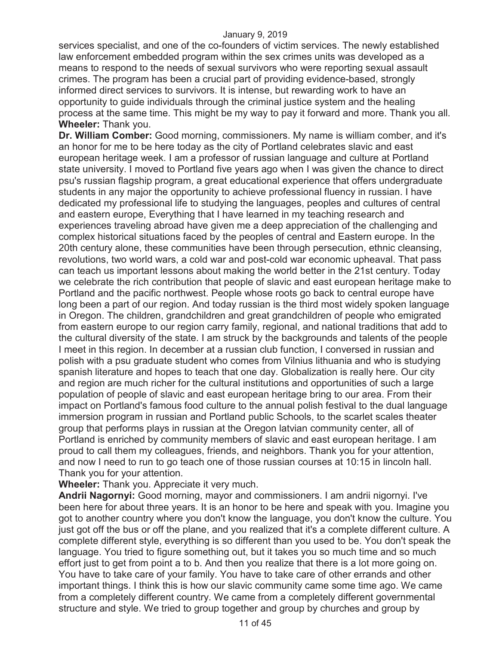services specialist, and one of the co-founders of victim services. The newly established law enforcement embedded program within the sex crimes units was developed as a means to respond to the needs of sexual survivors who were reporting sexual assault crimes. The program has been a crucial part of providing evidence-based, strongly informed direct services to survivors. It is intense, but rewarding work to have an opportunity to guide individuals through the criminal justice system and the healing process at the same time. This might be my way to pay it forward and more. Thank you all. **Wheeler:** Thank you.

**Dr. William Comber:** Good morning, commissioners. My name is william comber, and it's an honor for me to be here today as the city of Portland celebrates slavic and east european heritage week. I am a professor of russian language and culture at Portland state university. I moved to Portland five years ago when I was given the chance to direct psu's russian flagship program, a great educational experience that offers undergraduate students in any major the opportunity to achieve professional fluency in russian. I have dedicated my professional life to studying the languages, peoples and cultures of central and eastern europe, Everything that I have learned in my teaching research and experiences traveling abroad have given me a deep appreciation of the challenging and complex historical situations faced by the peoples of central and Eastern europe. In the 20th century alone, these communities have been through persecution, ethnic cleansing, revolutions, two world wars, a cold war and post-cold war economic upheaval. That pass can teach us important lessons about making the world better in the 21st century. Today we celebrate the rich contribution that people of slavic and east european heritage make to Portland and the pacific northwest. People whose roots go back to central europe have long been a part of our region. And today russian is the third most widely spoken language in Oregon. The children, grandchildren and great grandchildren of people who emigrated from eastern europe to our region carry family, regional, and national traditions that add to the cultural diversity of the state. I am struck by the backgrounds and talents of the people I meet in this region. In december at a russian club function, I conversed in russian and polish with a psu graduate student who comes from Vilnius lithuania and who is studying spanish literature and hopes to teach that one day. Globalization is really here. Our city and region are much richer for the cultural institutions and opportunities of such a large population of people of slavic and east european heritage bring to our area. From their impact on Portland's famous food culture to the annual polish festival to the dual language immersion program in russian and Portland public Schools, to the scarlet scales theater group that performs plays in russian at the Oregon latvian community center, all of Portland is enriched by community members of slavic and east european heritage. I am proud to call them my colleagues, friends, and neighbors. Thank you for your attention, and now I need to run to go teach one of those russian courses at 10:15 in lincoln hall. Thank you for your attention.

**Wheeler:** Thank you. Appreciate it very much.

**Andrii Nagornyi:** Good morning, mayor and commissioners. I am andrii nigornyi. I've been here for about three years. It is an honor to be here and speak with you. Imagine you got to another country where you don't know the language, you don't know the culture. You just got off the bus or off the plane, and you realized that it's a complete different culture. A complete different style, everything is so different than you used to be. You don't speak the language. You tried to figure something out, but it takes you so much time and so much effort just to get from point a to b. And then you realize that there is a lot more going on. You have to take care of your family. You have to take care of other errands and other important things. I think this is how our slavic community came some time ago. We came from a completely different country. We came from a completely different governmental structure and style. We tried to group together and group by churches and group by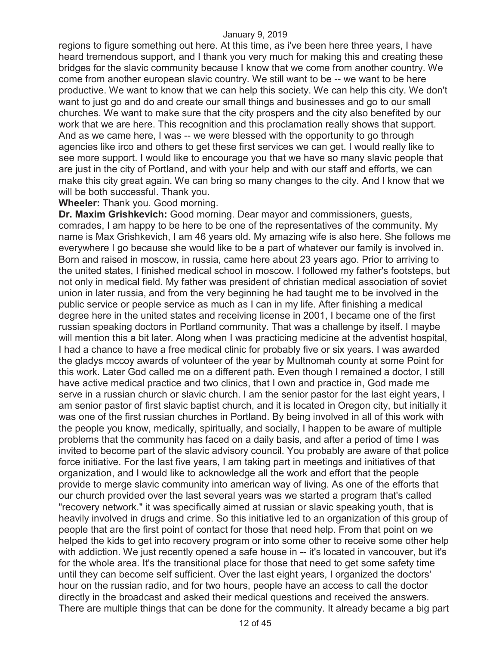regions to figure something out here. At this time, as i've been here three years, I have heard tremendous support, and I thank you very much for making this and creating these bridges for the slavic community because I know that we come from another country. We come from another european slavic country. We still want to be -- we want to be here productive. We want to know that we can help this society. We can help this city. We don't want to just go and do and create our small things and businesses and go to our small churches. We want to make sure that the city prospers and the city also benefited by our work that we are here. This recognition and this proclamation really shows that support. And as we came here, I was -- we were blessed with the opportunity to go through agencies like irco and others to get these first services we can get. I would really like to see more support. I would like to encourage you that we have so many slavic people that are just in the city of Portland, and with your help and with our staff and efforts, we can make this city great again. We can bring so many changes to the city. And I know that we will be both successful. Thank you.

### **Wheeler:** Thank you. Good morning.

**Dr. Maxim Grishkevich:** Good morning. Dear mayor and commissioners, guests, comrades, I am happy to be here to be one of the representatives of the community. My name is Max Grishkevich, I am 46 years old. My amazing wife is also here. She follows me everywhere I go because she would like to be a part of whatever our family is involved in. Born and raised in moscow, in russia, came here about 23 years ago. Prior to arriving to the united states, I finished medical school in moscow. I followed my father's footsteps, but not only in medical field. My father was president of christian medical association of soviet union in later russia, and from the very beginning he had taught me to be involved in the public service or people service as much as I can in my life. After finishing a medical degree here in the united states and receiving license in 2001, I became one of the first russian speaking doctors in Portland community. That was a challenge by itself. I maybe will mention this a bit later. Along when I was practicing medicine at the adventist hospital, I had a chance to have a free medical clinic for probably five or six years. I was awarded the gladys mccoy awards of volunteer of the year by Multnomah county at some Point for this work. Later God called me on a different path. Even though I remained a doctor, I still have active medical practice and two clinics, that I own and practice in, God made me serve in a russian church or slavic church. I am the senior pastor for the last eight years, I am senior pastor of first slavic baptist church, and it is located in Oregon city, but initially it was one of the first russian churches in Portland. By being involved in all of this work with the people you know, medically, spiritually, and socially, I happen to be aware of multiple problems that the community has faced on a daily basis, and after a period of time I was invited to become part of the slavic advisory council. You probably are aware of that police force initiative. For the last five years, I am taking part in meetings and initiatives of that organization, and I would like to acknowledge all the work and effort that the people provide to merge slavic community into american way of living. As one of the efforts that our church provided over the last several years was we started a program that's called "recovery network." it was specifically aimed at russian or slavic speaking youth, that is heavily involved in drugs and crime. So this initiative led to an organization of this group of people that are the first point of contact for those that need help. From that point on we helped the kids to get into recovery program or into some other to receive some other help with addiction. We just recently opened a safe house in -- it's located in vancouver, but it's for the whole area. It's the transitional place for those that need to get some safety time until they can become self sufficient. Over the last eight years, I organized the doctors' hour on the russian radio, and for two hours, people have an access to call the doctor directly in the broadcast and asked their medical questions and received the answers. There are multiple things that can be done for the community. It already became a big part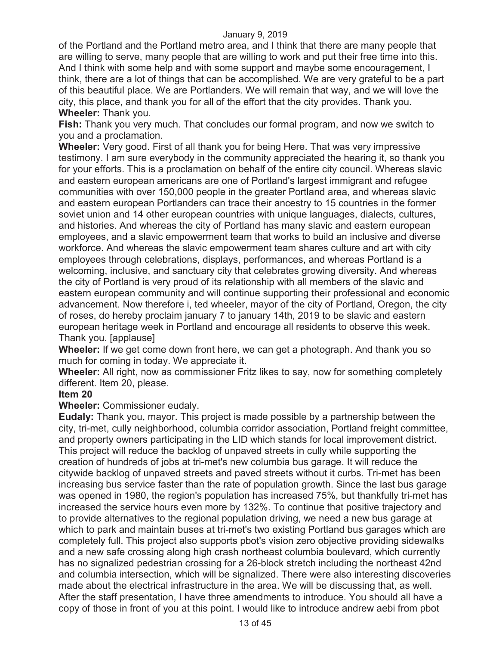of the Portland and the Portland metro area, and I think that there are many people that are willing to serve, many people that are willing to work and put their free time into this. And I think with some help and with some support and maybe some encouragement, I think, there are a lot of things that can be accomplished. We are very grateful to be a part of this beautiful place. We are Portlanders. We will remain that way, and we will love the city, this place, and thank you for all of the effort that the city provides. Thank you. **Wheeler:** Thank you.

**Fish:** Thank you very much. That concludes our formal program, and now we switch to you and a proclamation.

**Wheeler:** Very good. First of all thank you for being Here. That was very impressive testimony. I am sure everybody in the community appreciated the hearing it, so thank you for your efforts. This is a proclamation on behalf of the entire city council. Whereas slavic and eastern european americans are one of Portland's largest immigrant and refugee communities with over 150,000 people in the greater Portland area, and whereas slavic and eastern european Portlanders can trace their ancestry to 15 countries in the former soviet union and 14 other european countries with unique languages, dialects, cultures, and histories. And whereas the city of Portland has many slavic and eastern european employees, and a slavic empowerment team that works to build an inclusive and diverse workforce. And whereas the slavic empowerment team shares culture and art with city employees through celebrations, displays, performances, and whereas Portland is a welcoming, inclusive, and sanctuary city that celebrates growing diversity. And whereas the city of Portland is very proud of its relationship with all members of the slavic and eastern european community and will continue supporting their professional and economic advancement. Now therefore i, ted wheeler, mayor of the city of Portland, Oregon, the city of roses, do hereby proclaim january 7 to january 14th, 2019 to be slavic and eastern european heritage week in Portland and encourage all residents to observe this week. Thank you. [applause]

**Wheeler:** If we get come down front here, we can get a photograph. And thank you so much for coming in today. We appreciate it.

**Wheeler:** All right, now as commissioner Fritz likes to say, now for something completely different. Item 20, please.

#### **Item 20**

# **Wheeler:** Commissioner eudaly.

**Eudaly:** Thank you, mayor. This project is made possible by a partnership between the city, tri-met, cully neighborhood, columbia corridor association, Portland freight committee, and property owners participating in the LID which stands for local improvement district. This project will reduce the backlog of unpaved streets in cully while supporting the creation of hundreds of jobs at tri-met's new columbia bus garage. It will reduce the citywide backlog of unpaved streets and paved streets without it curbs. Tri-met has been increasing bus service faster than the rate of population growth. Since the last bus garage was opened in 1980, the region's population has increased 75%, but thankfully tri-met has increased the service hours even more by 132%. To continue that positive trajectory and to provide alternatives to the regional population driving, we need a new bus garage at which to park and maintain buses at tri-met's two existing Portland bus garages which are completely full. This project also supports pbot's vision zero objective providing sidewalks and a new safe crossing along high crash northeast columbia boulevard, which currently has no signalized pedestrian crossing for a 26-block stretch including the northeast 42nd and columbia intersection, which will be signalized. There were also interesting discoveries made about the electrical infrastructure in the area. We will be discussing that, as well. After the staff presentation, I have three amendments to introduce. You should all have a copy of those in front of you at this point. I would like to introduce andrew aebi from pbot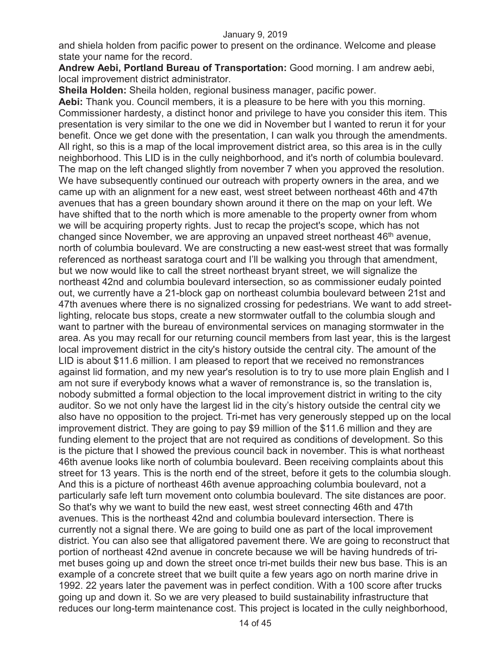and shiela holden from pacific power to present on the ordinance. Welcome and please state your name for the record.

**Andrew Aebi, Portland Bureau of Transportation:** Good morning. I am andrew aebi, local improvement district administrator.

**Sheila Holden:** Sheila holden, regional business manager, pacific power.

**Aebi:** Thank you. Council members, it is a pleasure to be here with you this morning. Commissioner hardesty, a distinct honor and privilege to have you consider this item. This presentation is very similar to the one we did in November but I wanted to rerun it for your benefit. Once we get done with the presentation, I can walk you through the amendments. All right, so this is a map of the local improvement district area, so this area is in the cully neighborhood. This LID is in the cully neighborhood, and it's north of columbia boulevard. The map on the left changed slightly from november 7 when you approved the resolution. We have subsequently continued our outreach with property owners in the area, and we came up with an alignment for a new east, west street between northeast 46th and 47th avenues that has a green boundary shown around it there on the map on your left. We have shifted that to the north which is more amenable to the property owner from whom we will be acquiring property rights. Just to recap the project's scope, which has not changed since November, we are approving an unpaved street northeast 46<sup>th</sup> avenue, north of columbia boulevard. We are constructing a new east-west street that was formally referenced as northeast saratoga court and I'll be walking you through that amendment, but we now would like to call the street northeast bryant street, we will signalize the northeast 42nd and columbia boulevard intersection, so as commissioner eudaly pointed out, we currently have a 21-block gap on northeast columbia boulevard between 21st and 47th avenues where there is no signalized crossing for pedestrians. We want to add streetlighting, relocate bus stops, create a new stormwater outfall to the columbia slough and want to partner with the bureau of environmental services on managing stormwater in the area. As you may recall for our returning council members from last year, this is the largest local improvement district in the city's history outside the central city. The amount of the LID is about \$11.6 million. I am pleased to report that we received no remonstrances against lid formation, and my new year's resolution is to try to use more plain English and I am not sure if everybody knows what a waver of remonstrance is, so the translation is, nobody submitted a formal objection to the local improvement district in writing to the city auditor. So we not only have the largest lid in the city's history outside the central city we also have no opposition to the project. Tri-met has very generously stepped up on the local improvement district. They are going to pay \$9 million of the \$11.6 million and they are funding element to the project that are not required as conditions of development. So this is the picture that I showed the previous council back in november. This is what northeast 46th avenue looks like north of columbia boulevard. Been receiving complaints about this street for 13 years. This is the north end of the street, before it gets to the columbia slough. And this is a picture of northeast 46th avenue approaching columbia boulevard, not a particularly safe left turn movement onto columbia boulevard. The site distances are poor. So that's why we want to build the new east, west street connecting 46th and 47th avenues. This is the northeast 42nd and columbia boulevard intersection. There is currently not a signal there. We are going to build one as part of the local improvement district. You can also see that alligatored pavement there. We are going to reconstruct that portion of northeast 42nd avenue in concrete because we will be having hundreds of trimet buses going up and down the street once tri-met builds their new bus base. This is an example of a concrete street that we built quite a few years ago on north marine drive in 1992. 22 years later the pavement was in perfect condition. With a 100 score after trucks going up and down it. So we are very pleased to build sustainability infrastructure that reduces our long-term maintenance cost. This project is located in the cully neighborhood,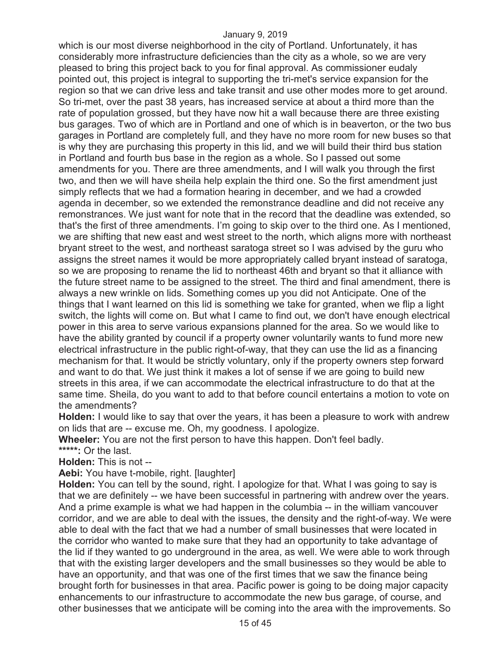which is our most diverse neighborhood in the city of Portland. Unfortunately, it has considerably more infrastructure deficiencies than the city as a whole, so we are very pleased to bring this project back to you for final approval. As commissioner eudaly pointed out, this project is integral to supporting the tri-met's service expansion for the region so that we can drive less and take transit and use other modes more to get around. So tri-met, over the past 38 years, has increased service at about a third more than the rate of population grossed, but they have now hit a wall because there are three existing bus garages. Two of which are in Portland and one of which is in beaverton, or the two bus garages in Portland are completely full, and they have no more room for new buses so that is why they are purchasing this property in this lid, and we will build their third bus station in Portland and fourth bus base in the region as a whole. So I passed out some amendments for you. There are three amendments, and I will walk you through the first two, and then we will have sheila help explain the third one. So the first amendment just simply reflects that we had a formation hearing in december, and we had a crowded agenda in december, so we extended the remonstrance deadline and did not receive any remonstrances. We just want for note that in the record that the deadline was extended, so that's the first of three amendments. I'm going to skip over to the third one. As I mentioned, we are shifting that new east and west street to the north, which aligns more with northeast bryant street to the west, and northeast saratoga street so I was advised by the guru who assigns the street names it would be more appropriately called bryant instead of saratoga, so we are proposing to rename the lid to northeast 46th and bryant so that it alliance with the future street name to be assigned to the street. The third and final amendment, there is always a new wrinkle on lids. Something comes up you did not Anticipate. One of the things that I want learned on this lid is something we take for granted, when we flip a light switch, the lights will come on. But what I came to find out, we don't have enough electrical power in this area to serve various expansions planned for the area. So we would like to have the ability granted by council if a property owner voluntarily wants to fund more new electrical infrastructure in the public right-of-way, that they can use the lid as a financing mechanism for that. It would be strictly voluntary, only if the property owners step forward and want to do that. We just think it makes a lot of sense if we are going to build new streets in this area, if we can accommodate the electrical infrastructure to do that at the same time. Sheila, do you want to add to that before council entertains a motion to vote on the amendments?

**Holden:** I would like to say that over the years, it has been a pleasure to work with andrew on lids that are -- excuse me. Oh, my goodness. I apologize.

**Wheeler:** You are not the first person to have this happen. Don't feel badly.

**\*\*\*\*\*:** Or the last.

**Holden:** This is not --

**Aebi:** You have t-mobile, right. [laughter]

**Holden:** You can tell by the sound, right. I apologize for that. What I was going to say is that we are definitely -- we have been successful in partnering with andrew over the years. And a prime example is what we had happen in the columbia -- in the william vancouver corridor, and we are able to deal with the issues, the density and the right-of-way. We were able to deal with the fact that we had a number of small businesses that were located in the corridor who wanted to make sure that they had an opportunity to take advantage of the lid if they wanted to go underground in the area, as well. We were able to work through that with the existing larger developers and the small businesses so they would be able to have an opportunity, and that was one of the first times that we saw the finance being brought forth for businesses in that area. Pacific power is going to be doing major capacity enhancements to our infrastructure to accommodate the new bus garage, of course, and other businesses that we anticipate will be coming into the area with the improvements. So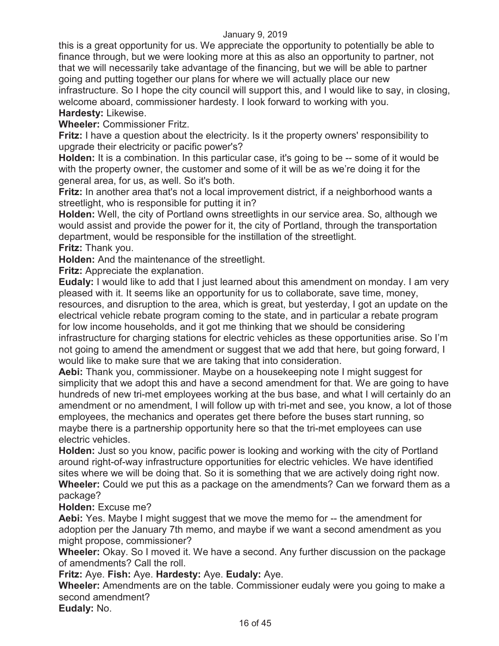this is a great opportunity for us. We appreciate the opportunity to potentially be able to finance through, but we were looking more at this as also an opportunity to partner, not that we will necessarily take advantage of the financing, but we will be able to partner going and putting together our plans for where we will actually place our new infrastructure. So I hope the city council will support this, and I would like to say, in closing, welcome aboard, commissioner hardesty. I look forward to working with you. **Hardesty:** Likewise.

**Wheeler:** Commissioner Fritz.

**Fritz:** I have a question about the electricity. Is it the property owners' responsibility to upgrade their electricity or pacific power's?

**Holden:** It is a combination. In this particular case, it's going to be -- some of it would be with the property owner, the customer and some of it will be as we're doing it for the general area, for us, as well. So it's both.

**Fritz:** In another area that's not a local improvement district, if a neighborhood wants a streetlight, who is responsible for putting it in?

**Holden:** Well, the city of Portland owns streetlights in our service area. So, although we would assist and provide the power for it, the city of Portland, through the transportation department, would be responsible for the instillation of the streetlight. **Fritz:** Thank you.

**Holden:** And the maintenance of the streetlight.

**Fritz:** Appreciate the explanation.

**Eudaly:** I would like to add that I just learned about this amendment on monday. I am very pleased with it. It seems like an opportunity for us to collaborate, save time, money, resources, and disruption to the area, which is great, but yesterday, I got an update on the electrical vehicle rebate program coming to the state, and in particular a rebate program for low income households, and it got me thinking that we should be considering infrastructure for charging stations for electric vehicles as these opportunities arise. So I'm not going to amend the amendment or suggest that we add that here, but going forward, I would like to make sure that we are taking that into consideration.

**Aebi:** Thank you, commissioner. Maybe on a housekeeping note I might suggest for simplicity that we adopt this and have a second amendment for that. We are going to have hundreds of new tri-met employees working at the bus base, and what I will certainly do an amendment or no amendment, I will follow up with tri-met and see, you know, a lot of those employees, the mechanics and operates get there before the buses start running, so maybe there is a partnership opportunity here so that the tri-met employees can use electric vehicles.

**Holden:** Just so you know, pacific power is looking and working with the city of Portland around right-of-way infrastructure opportunities for electric vehicles. We have identified sites where we will be doing that. So it is something that we are actively doing right now. **Wheeler:** Could we put this as a package on the amendments? Can we forward them as a package?

#### **Holden:** Excuse me?

**Aebi:** Yes. Maybe I might suggest that we move the memo for -- the amendment for adoption per the January 7th memo, and maybe if we want a second amendment as you might propose, commissioner?

**Wheeler:** Okay. So I moved it. We have a second. Any further discussion on the package of amendments? Call the roll.

**Fritz:** Aye. **Fish:** Aye. **Hardesty:** Aye. **Eudaly:** Aye.

**Wheeler:** Amendments are on the table. Commissioner eudaly were you going to make a second amendment?

**Eudaly:** No.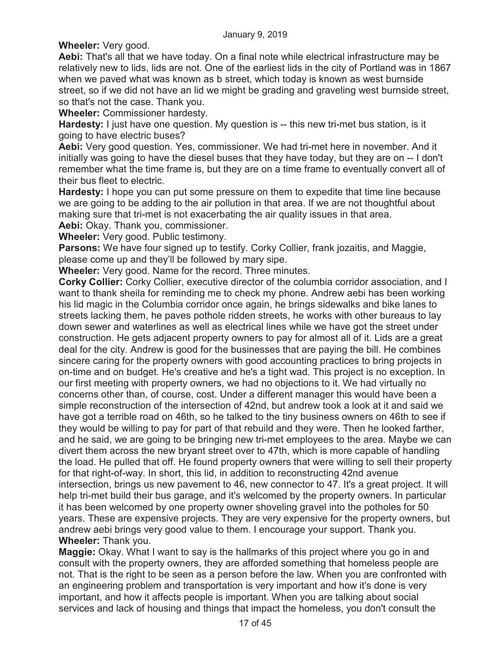**Wheeler:** Very good.

**Aebi:** That's all that we have today. On a final note while electrical infrastructure may be relatively new to lids, lids are not. One of the earliest lids in the city of Portland was in 1867 when we paved what was known as b street, which today is known as west burnside street, so if we did not have an lid we might be grading and graveling west burnside street, so that's not the case. Thank you.

**Wheeler:** Commissioner hardesty.

**Hardesty:** I just have one question. My question is -- this new tri-met bus station, is it going to have electric buses?

**Aebi:** Very good question. Yes, commissioner. We had tri-met here in november. And it initially was going to have the diesel buses that they have today, but they are on -- I don't remember what the time frame is, but they are on a time frame to eventually convert all of their bus fleet to electric.

**Hardesty:** I hope you can put some pressure on them to expedite that time line because we are going to be adding to the air pollution in that area. If we are not thoughtful about making sure that tri-met is not exacerbating the air quality issues in that area.

**Aebi:** Okay. Thank you, commissioner. **Wheeler:** Very good. Public testimony.

**Parsons:** We have four signed up to testify. Corky Collier, frank jozaitis, and Maggie, please come up and they'll be followed by mary sipe.

**Wheeler:** Very good. Name for the record. Three minutes.

**Corky Collier:** Corky Collier, executive director of the columbia corridor association, and I want to thank sheila for reminding me to check my phone. Andrew aebi has been working his lid magic in the Columbia corridor once again, he brings sidewalks and bike lanes to streets lacking them, he paves pothole ridden streets, he works with other bureaus to lay down sewer and waterlines as well as electrical lines while we have got the street under construction. He gets adjacent property owners to pay for almost all of it. Lids are a great deal for the city. Andrew is good for the businesses that are paying the bill. He combines sincere caring for the property owners with good accounting practices to bring projects in on-time and on budget. He's creative and he's a tight wad. This project is no exception. In our first meeting with property owners, we had no objections to it. We had virtually no concerns other than, of course, cost. Under a different manager this would have been a simple reconstruction of the intersection of 42nd, but andrew took a look at it and said we have got a terrible road on 46th, so he talked to the tiny business owners on 46th to see if they would be willing to pay for part of that rebuild and they were. Then he looked farther, and he said, we are going to be bringing new tri-met employees to the area. Maybe we can divert them across the new bryant street over to 47th, which is more capable of handling the load. He pulled that off. He found property owners that were willing to sell their property for that right-of-way. In short, this lid, in addition to reconstructing 42nd avenue intersection, brings us new pavement to 46, new connector to 47. It's a great project. It will help tri-met build their bus garage, and it's welcomed by the property owners. In particular it has been welcomed by one property owner shoveling gravel into the potholes for 50 years. These are expensive projects. They are very expensive for the property owners, but andrew aebi brings very good value to them. I encourage your support. Thank you. **Wheeler:** Thank you.

**Maggie:** Okay. What I want to say is the hallmarks of this project where you go in and consult with the property owners, they are afforded something that homeless people are not. That is the right to be seen as a person before the law. When you are confronted with an engineering problem and transportation is very important and how it's done is very important, and how it affects people is important. When you are talking about social services and lack of housing and things that impact the homeless, you don't consult the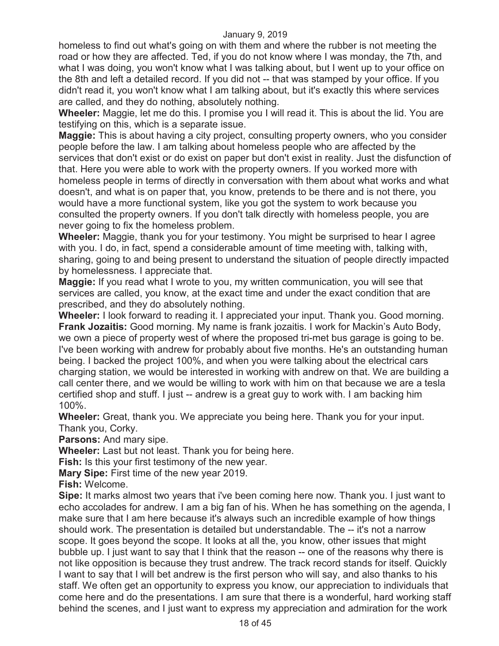homeless to find out what's going on with them and where the rubber is not meeting the road or how they are affected. Ted, if you do not know where I was monday, the 7th, and what I was doing, you won't know what I was talking about, but I went up to your office on the 8th and left a detailed record. If you did not -- that was stamped by your office. If you didn't read it, you won't know what I am talking about, but it's exactly this where services are called, and they do nothing, absolutely nothing.

**Wheeler:** Maggie, let me do this. I promise you I will read it. This is about the lid. You are testifying on this, which is a separate issue.

**Maggie:** This is about having a city project, consulting property owners, who you consider people before the law. I am talking about homeless people who are affected by the services that don't exist or do exist on paper but don't exist in reality. Just the disfunction of that. Here you were able to work with the property owners. If you worked more with homeless people in terms of directly in conversation with them about what works and what doesn't, and what is on paper that, you know, pretends to be there and is not there, you would have a more functional system, like you got the system to work because you consulted the property owners. If you don't talk directly with homeless people, you are never going to fix the homeless problem.

**Wheeler:** Maggie, thank you for your testimony. You might be surprised to hear I agree with you. I do, in fact, spend a considerable amount of time meeting with, talking with, sharing, going to and being present to understand the situation of people directly impacted by homelessness. I appreciate that.

**Maggie:** If you read what I wrote to you, my written communication, you will see that services are called, you know, at the exact time and under the exact condition that are prescribed, and they do absolutely nothing.

**Wheeler:** I look forward to reading it. I appreciated your input. Thank you. Good morning. **Frank Jozaitis:** Good morning. My name is frank jozaitis. I work for Mackin's Auto Body, we own a piece of property west of where the proposed tri-met bus garage is going to be. I've been working with andrew for probably about five months. He's an outstanding human being. I backed the project 100%, and when you were talking about the electrical cars charging station, we would be interested in working with andrew on that. We are building a call center there, and we would be willing to work with him on that because we are a tesla certified shop and stuff. I just -- andrew is a great guy to work with. I am backing him 100%.

**Wheeler:** Great, thank you. We appreciate you being here. Thank you for your input. Thank you, Corky.

**Parsons:** And mary sipe.

**Wheeler:** Last but not least. Thank you for being here.

**Fish:** Is this your first testimony of the new year.

**Mary Sipe:** First time of the new year 2019.

**Fish:** Welcome.

**Sipe:** It marks almost two years that i've been coming here now. Thank you. I just want to echo accolades for andrew. I am a big fan of his. When he has something on the agenda, I make sure that I am here because it's always such an incredible example of how things should work. The presentation is detailed but understandable. The -- it's not a narrow scope. It goes beyond the scope. It looks at all the, you know, other issues that might bubble up. I just want to say that I think that the reason -- one of the reasons why there is not like opposition is because they trust andrew. The track record stands for itself. Quickly I want to say that I will bet andrew is the first person who will say, and also thanks to his staff. We often get an opportunity to express you know, our appreciation to individuals that come here and do the presentations. I am sure that there is a wonderful, hard working staff behind the scenes, and I just want to express my appreciation and admiration for the work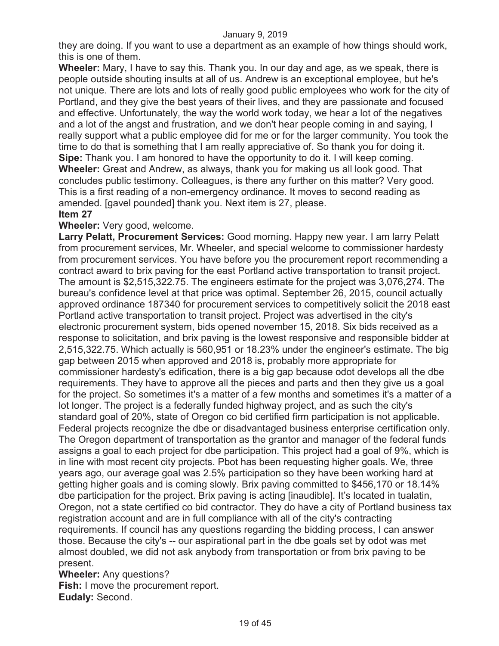they are doing. If you want to use a department as an example of how things should work, this is one of them.

**Wheeler:** Mary, I have to say this. Thank you. In our day and age, as we speak, there is people outside shouting insults at all of us. Andrew is an exceptional employee, but he's not unique. There are lots and lots of really good public employees who work for the city of Portland, and they give the best years of their lives, and they are passionate and focused and effective. Unfortunately, the way the world work today, we hear a lot of the negatives and a lot of the angst and frustration, and we don't hear people coming in and saying, I really support what a public employee did for me or for the larger community. You took the time to do that is something that I am really appreciative of. So thank you for doing it. **Sipe:** Thank you. I am honored to have the opportunity to do it. I will keep coming. **Wheeler:** Great and Andrew, as always, thank you for making us all look good. That concludes public testimony. Colleagues, is there any further on this matter? Very good. This is a first reading of a non-emergency ordinance. It moves to second reading as amended. [gavel pounded] thank you. Next item is 27, please.

#### **Item 27**

#### **Wheeler:** Very good, welcome.

**Larry Pelatt, Procurement Services:** Good morning. Happy new year. I am larry Pelatt from procurement services, Mr. Wheeler, and special welcome to commissioner hardesty from procurement services. You have before you the procurement report recommending a contract award to brix paving for the east Portland active transportation to transit project. The amount is \$2,515,322.75. The engineers estimate for the project was 3,076,274. The bureau's confidence level at that price was optimal. September 26, 2015, council actually approved ordinance 187340 for procurement services to competitively solicit the 2018 east Portland active transportation to transit project. Project was advertised in the city's electronic procurement system, bids opened november 15, 2018. Six bids received as a response to solicitation, and brix paving is the lowest responsive and responsible bidder at 2,515,322.75. Which actually is 560,951 or 18.23% under the engineer's estimate. The big gap between 2015 when approved and 2018 is, probably more appropriate for commissioner hardesty's edification, there is a big gap because odot develops all the dbe requirements. They have to approve all the pieces and parts and then they give us a goal for the project. So sometimes it's a matter of a few months and sometimes it's a matter of a lot longer. The project is a federally funded highway project, and as such the city's standard goal of 20%, state of Oregon co bid certified firm participation is not applicable. Federal projects recognize the dbe or disadvantaged business enterprise certification only. The Oregon department of transportation as the grantor and manager of the federal funds assigns a goal to each project for dbe participation. This project had a goal of 9%, which is in line with most recent city projects. Pbot has been requesting higher goals. We, three years ago, our average goal was 2.5% participation so they have been working hard at getting higher goals and is coming slowly. Brix paving committed to \$456,170 or 18.14% dbe participation for the project. Brix paving is acting [inaudible]. It's located in tualatin, Oregon, not a state certified co bid contractor. They do have a city of Portland business tax registration account and are in full compliance with all of the city's contracting requirements. If council has any questions regarding the bidding process, I can answer those. Because the city's -- our aspirational part in the dbe goals set by odot was met almost doubled, we did not ask anybody from transportation or from brix paving to be present.

**Wheeler:** Any questions? **Fish:** I move the procurement report. **Eudaly:** Second.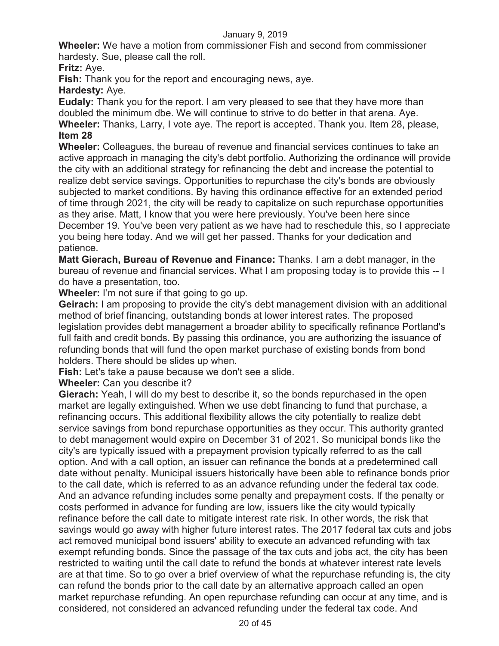**Wheeler:** We have a motion from commissioner Fish and second from commissioner hardesty. Sue, please call the roll.

# **Fritz:** Aye.

**Fish:** Thank you for the report and encouraging news, aye.

**Hardesty:** Aye.

**Eudaly:** Thank you for the report. I am very pleased to see that they have more than doubled the minimum dbe. We will continue to strive to do better in that arena. Aye. **Wheeler:** Thanks, Larry, I vote aye. The report is accepted. Thank you. Item 28, please, **Item 28** 

**Wheeler:** Colleagues, the bureau of revenue and financial services continues to take an active approach in managing the city's debt portfolio. Authorizing the ordinance will provide the city with an additional strategy for refinancing the debt and increase the potential to realize debt service savings. Opportunities to repurchase the city's bonds are obviously subjected to market conditions. By having this ordinance effective for an extended period of time through 2021, the city will be ready to capitalize on such repurchase opportunities as they arise. Matt, I know that you were here previously. You've been here since December 19. You've been very patient as we have had to reschedule this, so I appreciate you being here today. And we will get her passed. Thanks for your dedication and patience.

**Matt Gierach, Bureau of Revenue and Finance:** Thanks. I am a debt manager, in the bureau of revenue and financial services. What I am proposing today is to provide this -- I do have a presentation, too.

**Wheeler:** I'm not sure if that going to go up.

**Geirach:** I am proposing to provide the city's debt management division with an additional method of brief financing, outstanding bonds at lower interest rates. The proposed legislation provides debt management a broader ability to specifically refinance Portland's full faith and credit bonds. By passing this ordinance, you are authorizing the issuance of refunding bonds that will fund the open market purchase of existing bonds from bond holders. There should be slides up when.

**Fish:** Let's take a pause because we don't see a slide.

**Wheeler:** Can you describe it?

**Gierach:** Yeah, I will do my best to describe it, so the bonds repurchased in the open market are legally extinguished. When we use debt financing to fund that purchase, a refinancing occurs. This additional flexibility allows the city potentially to realize debt service savings from bond repurchase opportunities as they occur. This authority granted to debt management would expire on December 31 of 2021. So municipal bonds like the city's are typically issued with a prepayment provision typically referred to as the call option. And with a call option, an issuer can refinance the bonds at a predetermined call date without penalty. Municipal issuers historically have been able to refinance bonds prior to the call date, which is referred to as an advance refunding under the federal tax code. And an advance refunding includes some penalty and prepayment costs. If the penalty or costs performed in advance for funding are low, issuers like the city would typically refinance before the call date to mitigate interest rate risk. In other words, the risk that savings would go away with higher future interest rates. The 2017 federal tax cuts and jobs act removed municipal bond issuers' ability to execute an advanced refunding with tax exempt refunding bonds. Since the passage of the tax cuts and jobs act, the city has been restricted to waiting until the call date to refund the bonds at whatever interest rate levels are at that time. So to go over a brief overview of what the repurchase refunding is, the city can refund the bonds prior to the call date by an alternative approach called an open market repurchase refunding. An open repurchase refunding can occur at any time, and is considered, not considered an advanced refunding under the federal tax code. And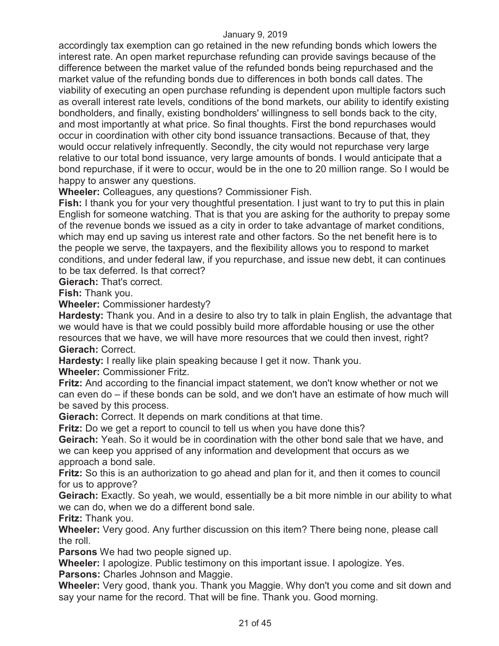accordingly tax exemption can go retained in the new refunding bonds which lowers the interest rate. An open market repurchase refunding can provide savings because of the difference between the market value of the refunded bonds being repurchased and the market value of the refunding bonds due to differences in both bonds call dates. The viability of executing an open purchase refunding is dependent upon multiple factors such as overall interest rate levels, conditions of the bond markets, our ability to identify existing bondholders, and finally, existing bondholders' willingness to sell bonds back to the city, and most importantly at what price. So final thoughts. First the bond repurchases would occur in coordination with other city bond issuance transactions. Because of that, they would occur relatively infrequently. Secondly, the city would not repurchase very large relative to our total bond issuance, very large amounts of bonds. I would anticipate that a bond repurchase, if it were to occur, would be in the one to 20 million range. So I would be happy to answer any questions.

**Wheeler:** Colleagues, any questions? Commissioner Fish.

**Fish:** I thank you for your very thoughtful presentation. I just want to try to put this in plain English for someone watching. That is that you are asking for the authority to prepay some of the revenue bonds we issued as a city in order to take advantage of market conditions, which may end up saving us interest rate and other factors. So the net benefit here is to the people we serve, the taxpayers, and the flexibility allows you to respond to market conditions, and under federal law, if you repurchase, and issue new debt, it can continues to be tax deferred. Is that correct?

**Gierach:** That's correct.

**Fish:** Thank you.

**Wheeler:** Commissioner hardesty?

**Hardesty:** Thank you. And in a desire to also try to talk in plain English, the advantage that we would have is that we could possibly build more affordable housing or use the other resources that we have, we will have more resources that we could then invest, right? **Gierach:** Correct.

**Hardesty:** I really like plain speaking because I get it now. Thank you.

**Wheeler:** Commissioner Fritz.

**Fritz:** And according to the financial impact statement, we don't know whether or not we can even do – if these bonds can be sold, and we don't have an estimate of how much will be saved by this process.

**Gierach:** Correct. It depends on mark conditions at that time.

**Fritz:** Do we get a report to council to tell us when you have done this?

**Geirach:** Yeah. So it would be in coordination with the other bond sale that we have, and we can keep you apprised of any information and development that occurs as we approach a bond sale.

**Fritz:** So this is an authorization to go ahead and plan for it, and then it comes to council for us to approve?

**Geirach:** Exactly. So yeah, we would, essentially be a bit more nimble in our ability to what we can do, when we do a different bond sale.

**Fritz:** Thank you.

**Wheeler:** Very good. Any further discussion on this item? There being none, please call the roll.

**Parsons** We had two people signed up.

**Wheeler:** I apologize. Public testimony on this important issue. I apologize. Yes.

**Parsons:** Charles Johnson and Maggie.

**Wheeler:** Very good, thank you. Thank you Maggie. Why don't you come and sit down and say your name for the record. That will be fine. Thank you. Good morning.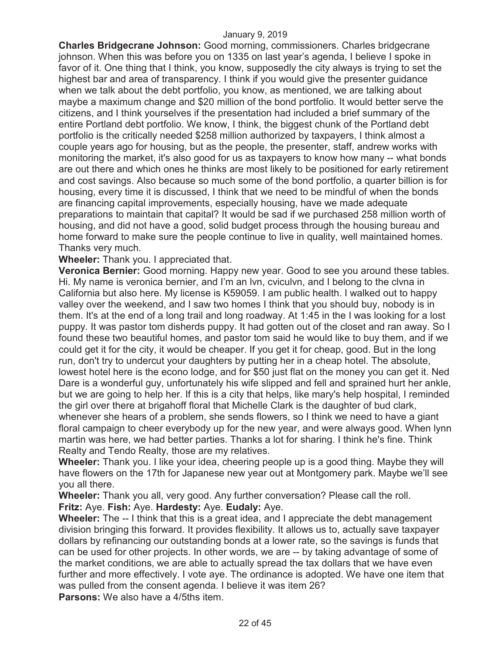**Charles Bridgecrane Johnson:** Good morning, commissioners. Charles bridgecrane johnson. When this was before you on 1335 on last year's agenda, I believe I spoke in favor of it. One thing that I think, you know, supposedly the city always is trying to set the highest bar and area of transparency. I think if you would give the presenter guidance when we talk about the debt portfolio, you know, as mentioned, we are talking about maybe a maximum change and \$20 million of the bond portfolio. It would better serve the citizens, and I think yourselves if the presentation had included a brief summary of the entire Portland debt portfolio. We know, I think, the biggest chunk of the Portland debt portfolio is the critically needed \$258 million authorized by taxpayers, I think almost a couple years ago for housing, but as the people, the presenter, staff, andrew works with monitoring the market, it's also good for us as taxpayers to know how many -- what bonds are out there and which ones he thinks are most likely to be positioned for early retirement and cost savings. Also because so much some of the bond portfolio, a quarter billion is for housing, every time it is discussed, I think that we need to be mindful of when the bonds are financing capital improvements, especially housing, have we made adequate preparations to maintain that capital? It would be sad if we purchased 258 million worth of housing, and did not have a good, solid budget process through the housing bureau and home forward to make sure the people continue to live in quality, well maintained homes. Thanks very much.

**Wheeler:** Thank you. I appreciated that.

**Veronica Bernier:** Good morning. Happy new year. Good to see you around these tables. Hi. My name is veronica bernier, and I'm an lvn, cviculvn, and I belong to the clvna in California but also here. My license is K59059. I am public health. I walked out to happy valley over the weekend, and I saw two homes I think that you should buy, nobody is in them. It's at the end of a long trail and long roadway. At 1:45 in the I was looking for a lost puppy. It was pastor tom disherds puppy. It had gotten out of the closet and ran away. So I found these two beautiful homes, and pastor tom said he would like to buy them, and if we could get it for the city, it would be cheaper. If you get it for cheap, good. But in the long run, don't try to undercut your daughters by putting her in a cheap hotel. The absolute, lowest hotel here is the econo lodge, and for \$50 just flat on the money you can get it. Ned Dare is a wonderful guy, unfortunately his wife slipped and fell and sprained hurt her ankle, but we are going to help her. If this is a city that helps, like mary's help hospital, I reminded the girl over there at brigahoff floral that Michelle Clark is the daughter of bud clark, whenever she hears of a problem, she sends flowers, so I think we need to have a giant floral campaign to cheer everybody up for the new year, and were always good. When lynn martin was here, we had better parties. Thanks a lot for sharing. I think he's fine. Think Realty and Tendo Realty, those are my relatives.

**Wheeler:** Thank you. I like your idea, cheering people up is a good thing. Maybe they will have flowers on the 17th for Japanese new year out at Montgomery park. Maybe we'll see you all there.

**Wheeler:** Thank you all, very good. Any further conversation? Please call the roll. **Fritz:** Aye. **Fish:** Aye. **Hardesty:** Aye. **Eudaly:** Aye.

**Wheeler:** The -- I think that this is a great idea, and I appreciate the debt management division bringing this forward. It provides flexibility. It allows us to, actually save taxpayer dollars by refinancing our outstanding bonds at a lower rate, so the savings is funds that can be used for other projects. In other words, we are -- by taking advantage of some of the market conditions, we are able to actually spread the tax dollars that we have even further and more effectively. I vote aye. The ordinance is adopted. We have one item that was pulled from the consent agenda. I believe it was item 26?

**Parsons:** We also have a 4/5ths item.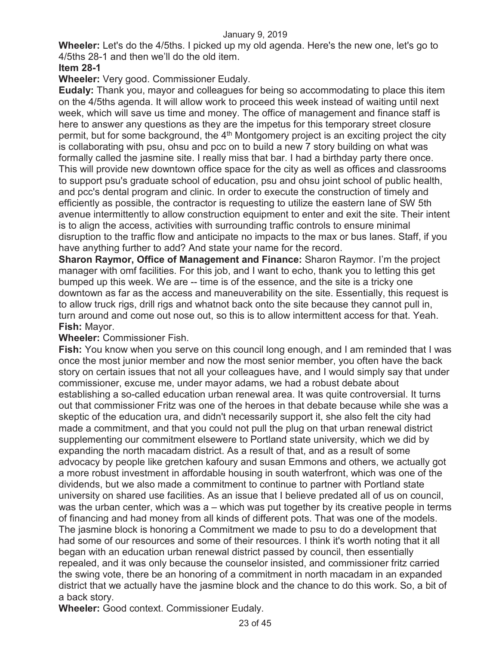**Wheeler:** Let's do the 4/5ths. I picked up my old agenda. Here's the new one, let's go to 4/5ths 28-1 and then we'll do the old item.

# **Item 28-1**

**Wheeler:** Very good. Commissioner Eudaly.

**Eudaly:** Thank you, mayor and colleagues for being so accommodating to place this item on the 4/5ths agenda. It will allow work to proceed this week instead of waiting until next week, which will save us time and money. The office of management and finance staff is here to answer any questions as they are the impetus for this temporary street closure permit, but for some background, the 4<sup>th</sup> Montgomery project is an exciting project the city is collaborating with psu, ohsu and pcc on to build a new 7 story building on what was formally called the jasmine site. I really miss that bar. I had a birthday party there once. This will provide new downtown office space for the city as well as offices and classrooms to support psu's graduate school of education, psu and ohsu joint school of public health, and pcc's dental program and clinic. In order to execute the construction of timely and efficiently as possible, the contractor is requesting to utilize the eastern lane of SW 5th avenue intermittently to allow construction equipment to enter and exit the site. Their intent is to align the access, activities with surrounding traffic controls to ensure minimal disruption to the traffic flow and anticipate no impacts to the max or bus lanes. Staff, if you have anything further to add? And state your name for the record.

**Sharon Raymor, Office of Management and Finance:** Sharon Raymor. I'm the project manager with omf facilities. For this job, and I want to echo, thank you to letting this get bumped up this week. We are -- time is of the essence, and the site is a tricky one downtown as far as the access and maneuverability on the site. Essentially, this request is to allow truck rigs, drill rigs and whatnot back onto the site because they cannot pull in, turn around and come out nose out, so this is to allow intermittent access for that. Yeah. **Fish:** Mayor.

# **Wheeler:** Commissioner Fish.

**Fish:** You know when you serve on this council long enough, and I am reminded that I was once the most junior member and now the most senior member, you often have the back story on certain issues that not all your colleagues have, and I would simply say that under commissioner, excuse me, under mayor adams, we had a robust debate about establishing a so-called education urban renewal area. It was quite controversial. It turns out that commissioner Fritz was one of the heroes in that debate because while she was a skeptic of the education ura, and didn't necessarily support it, she also felt the city had made a commitment, and that you could not pull the plug on that urban renewal district supplementing our commitment elsewere to Portland state university, which we did by expanding the north macadam district. As a result of that, and as a result of some advocacy by people like gretchen kafoury and susan Emmons and others, we actually got a more robust investment in affordable housing in south waterfront, which was one of the dividends, but we also made a commitment to continue to partner with Portland state university on shared use facilities. As an issue that I believe predated all of us on council, was the urban center, which was a – which was put together by its creative people in terms of financing and had money from all kinds of different pots. That was one of the models. The jasmine block is honoring a Commitment we made to psu to do a development that had some of our resources and some of their resources. I think it's worth noting that it all began with an education urban renewal district passed by council, then essentially repealed, and it was only because the counselor insisted, and commissioner fritz carried the swing vote, there be an honoring of a commitment in north macadam in an expanded district that we actually have the jasmine block and the chance to do this work. So, a bit of a back story.

**Wheeler:** Good context. Commissioner Eudaly.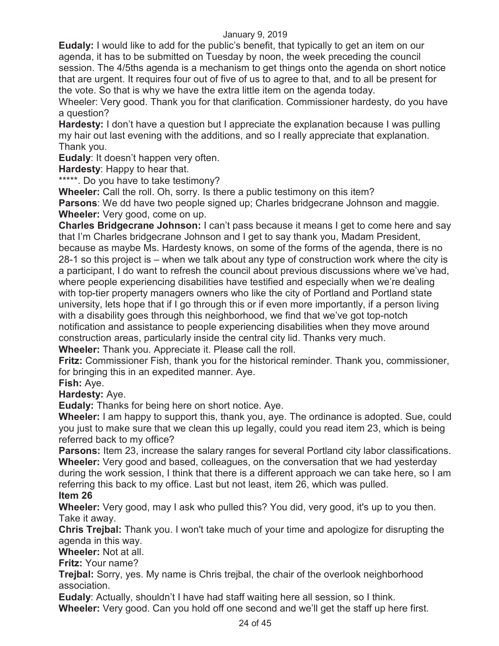**Eudaly:** I would like to add for the public's benefit, that typically to get an item on our agenda, it has to be submitted on Tuesday by noon, the week preceding the council session. The 4/5ths agenda is a mechanism to get things onto the agenda on short notice that are urgent. It requires four out of five of us to agree to that, and to all be present for the vote. So that is why we have the extra little item on the agenda today.

Wheeler: Very good. Thank you for that clarification. Commissioner hardesty, do you have a question?

**Hardesty:** I don't have a question but I appreciate the explanation because I was pulling my hair out last evening with the additions, and so I really appreciate that explanation. Thank you.

**Eudaly**: It doesn't happen very often.

**Hardesty**: Happy to hear that.

\*\*\*\*\*. Do you have to take testimony?

**Wheeler:** Call the roll. Oh, sorry. Is there a public testimony on this item?

**Parsons**: We dd have two people signed up; Charles bridgecrane Johnson and maggie. **Wheeler:** Very good, come on up.

**Charles Bridgecrane Johnson:** I can't pass because it means I get to come here and say that I'm Charles bridgecrane Johnson and I get to say thank you, Madam President, because as maybe Ms. Hardesty knows, on some of the forms of the agenda, there is no 28-1 so this project is – when we talk about any type of construction work where the city is a participant, I do want to refresh the council about previous discussions where we've had, where people experiencing disabilities have testified and especially when we're dealing with top-tier property managers owners who like the city of Portland and Portland state university, lets hope that if I go through this or if even more importantly, if a person living with a disability goes through this neighborhood, we find that we've got top-notch notification and assistance to people experiencing disabilities when they move around construction areas, particularly inside the central city lid. Thanks very much.

**Wheeler:** Thank you. Appreciate it. Please call the roll.

**Fritz:** Commissioner Fish, thank you for the historical reminder. Thank you, commissioner, for bringing this in an expedited manner. Aye.

**Fish:** Aye.

**Hardesty:** Aye.

**Eudaly:** Thanks for being here on short notice. Aye.

**Wheeler:** I am happy to support this, thank you, aye. The ordinance is adopted. Sue, could you just to make sure that we clean this up legally, could you read item 23, which is being referred back to my office?

**Parsons:** Item 23, increase the salary ranges for several Portland city labor classifications. **Wheeler:** Very good and based, colleagues, on the conversation that we had yesterday during the work session, I think that there is a different approach we can take here, so I am referring this back to my office. Last but not least, item 26, which was pulled.

# **Item 26**

**Wheeler:** Very good, may I ask who pulled this? You did, very good, it's up to you then. Take it away.

**Chris Trejbal:** Thank you. I won't take much of your time and apologize for disrupting the agenda in this way.

**Wheeler:** Not at all.

**Fritz:** Your name?

**Trejbal:** Sorry, yes. My name is Chris trejbal, the chair of the overlook neighborhood association.

**Eudaly**: Actually, shouldn't I have had staff waiting here all session, so I think. **Wheeler:** Very good. Can you hold off one second and we'll get the staff up here first.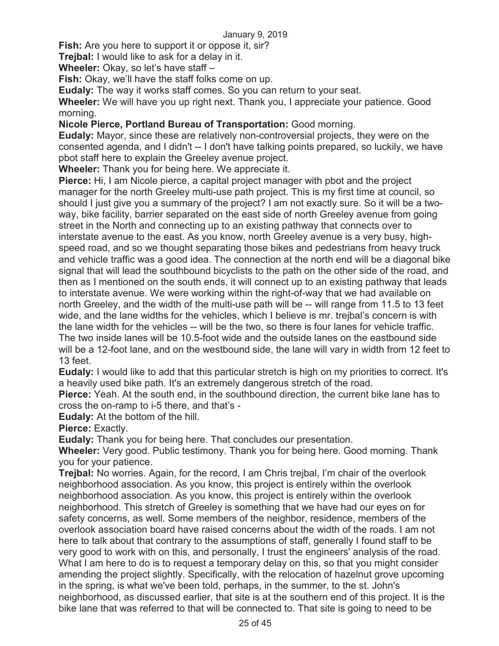**Fish:** Are you here to support it or oppose it, sir?

**Trejbal:** I would like to ask for a delay in it.

**Wheeler:** Okay, so let's have staff –

**Fish:** Okay, we'll have the staff folks come on up.

**Eudaly:** The way it works staff comes. So you can return to your seat.

**Wheeler:** We will have you up right next. Thank you, I appreciate your patience. Good morning.

**Nicole Pierce, Portland Bureau of Transportation:** Good morning.

**Eudaly:** Mayor, since these are relatively non-controversial projects, they were on the consented agenda, and I didn't -- I don't have talking points prepared, so luckily, we have pbot staff here to explain the Greeley avenue project.

**Wheeler:** Thank you for being here. We appreciate it.

**Pierce:** Hi, I am Nicole pierce, a capital project manager with pbot and the project manager for the north Greeley multi-use path project. This is my first time at council, so should I just give you a summary of the project? I am not exactly sure. So it will be a twoway, bike facility, barrier separated on the east side of north Greeley avenue from going street in the North and connecting up to an existing pathway that connects over to interstate avenue to the east. As you know, north Greeley avenue is a very busy, highspeed road, and so we thought separating those bikes and pedestrians from heavy truck and vehicle traffic was a good idea. The connection at the north end will be a diagonal bike signal that will lead the southbound bicyclists to the path on the other side of the road, and then as I mentioned on the south ends, it will connect up to an existing pathway that leads to interstate avenue. We were working within the right-of-way that we had available on north Greeley, and the width of the multi-use path will be -- will range from 11.5 to 13 feet wide, and the lane widths for the vehicles, which I believe is mr. trejbal's concern is with the lane width for the vehicles -- will be the two, so there is four lanes for vehicle traffic. The two inside lanes will be 10.5-foot wide and the outside lanes on the eastbound side will be a 12-foot lane, and on the westbound side, the lane will vary in width from 12 feet to 13 feet.

**Eudaly:** I would like to add that this particular stretch is high on my priorities to correct. It's a heavily used bike path. It's an extremely dangerous stretch of the road.

**Pierce:** Yeah. At the south end, in the southbound direction, the current bike lane has to cross the on-ramp to i-5 there, and that's -

**Eudaly:** At the bottom of the hill.

**Pierce:** Exactly.

**Eudaly:** Thank you for being here. That concludes our presentation.

**Wheeler:** Very good. Public testimony. Thank you for being here. Good morning. Thank you for your patience.

**Trejbal:** No worries. Again, for the record, I am Chris trejbal, I'm chair of the overlook neighborhood association. As you know, this project is entirely within the overlook neighborhood association. As you know, this project is entirely within the overlook neighborhood. This stretch of Greeley is something that we have had our eyes on for safety concerns, as well. Some members of the neighbor, residence, members of the overlook association board have raised concerns about the width of the roads. I am not here to talk about that contrary to the assumptions of staff, generally I found staff to be very good to work with on this, and personally, I trust the engineers' analysis of the road. What I am here to do is to request a temporary delay on this, so that you might consider amending the project slightly. Specifically, with the relocation of hazelnut grove upcoming in the spring, is what we've been told, perhaps, in the summer, to the st. John's neighborhood, as discussed earlier, that site is at the southern end of this project. It is the bike lane that was referred to that will be connected to. That site is going to need to be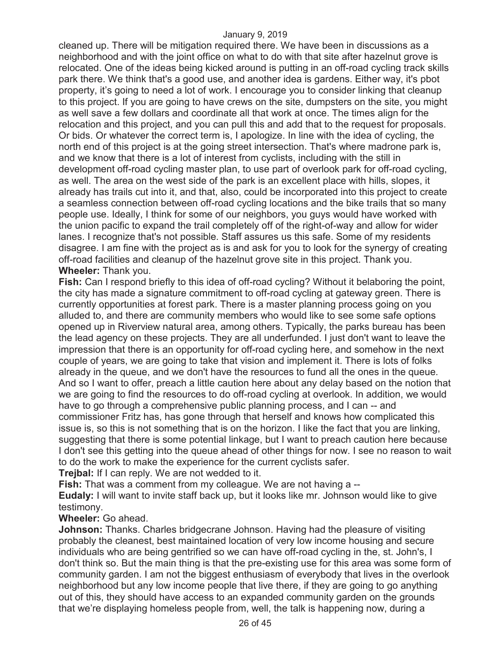cleaned up. There will be mitigation required there. We have been in discussions as a neighborhood and with the joint office on what to do with that site after hazelnut grove is relocated. One of the ideas being kicked around is putting in an off-road cycling track skills park there. We think that's a good use, and another idea is gardens. Either way, it's pbot property, it's going to need a lot of work. I encourage you to consider linking that cleanup to this project. If you are going to have crews on the site, dumpsters on the site, you might as well save a few dollars and coordinate all that work at once. The times align for the relocation and this project, and you can pull this and add that to the request for proposals. Or bids. Or whatever the correct term is, I apologize. In line with the idea of cycling, the north end of this project is at the going street intersection. That's where madrone park is, and we know that there is a lot of interest from cyclists, including with the still in development off-road cycling master plan, to use part of overlook park for off-road cycling, as well. The area on the west side of the park is an excellent place with hills, slopes, it already has trails cut into it, and that, also, could be incorporated into this project to create a seamless connection between off-road cycling locations and the bike trails that so many people use. Ideally, I think for some of our neighbors, you guys would have worked with the union pacific to expand the trail completely off of the right-of-way and allow for wider lanes. I recognize that's not possible. Staff assures us this safe. Some of my residents disagree. I am fine with the project as is and ask for you to look for the synergy of creating off-road facilities and cleanup of the hazelnut grove site in this project. Thank you. **Wheeler:** Thank you.

**Fish:** Can I respond briefly to this idea of off-road cycling? Without it belaboring the point, the city has made a signature commitment to off-road cycling at gateway green. There is currently opportunities at forest park. There is a master planning process going on you alluded to, and there are community members who would like to see some safe options opened up in Riverview natural area, among others. Typically, the parks bureau has been the lead agency on these projects. They are all underfunded. I just don't want to leave the impression that there is an opportunity for off-road cycling here, and somehow in the next couple of years, we are going to take that vision and implement it. There is lots of folks already in the queue, and we don't have the resources to fund all the ones in the queue. And so I want to offer, preach a little caution here about any delay based on the notion that we are going to find the resources to do off-road cycling at overlook. In addition, we would have to go through a comprehensive public planning process, and I can -- and commissioner Fritz has, has gone through that herself and knows how complicated this issue is, so this is not something that is on the horizon. I like the fact that you are linking, suggesting that there is some potential linkage, but I want to preach caution here because I don't see this getting into the queue ahead of other things for now. I see no reason to wait to do the work to make the experience for the current cyclists safer.

**Trejbal:** If I can reply. We are not wedded to it.

**Fish:** That was a comment from my colleague. We are not having a --

**Eudaly:** I will want to invite staff back up, but it looks like mr. Johnson would like to give testimony.

**Wheeler:** Go ahead.

**Johnson:** Thanks. Charles bridgecrane Johnson. Having had the pleasure of visiting probably the cleanest, best maintained location of very low income housing and secure individuals who are being gentrified so we can have off-road cycling in the, st. John's, I don't think so. But the main thing is that the pre-existing use for this area was some form of community garden. I am not the biggest enthusiasm of everybody that lives in the overlook neighborhood but any low income people that live there, if they are going to go anything out of this, they should have access to an expanded community garden on the grounds that we're displaying homeless people from, well, the talk is happening now, during a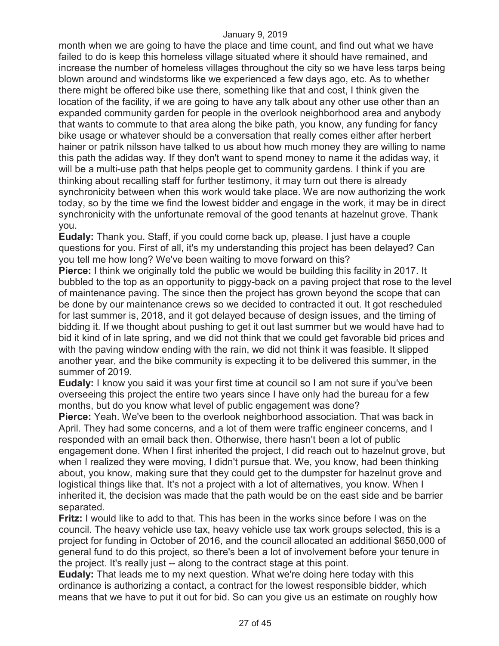month when we are going to have the place and time count, and find out what we have failed to do is keep this homeless village situated where it should have remained, and increase the number of homeless villages throughout the city so we have less tarps being blown around and windstorms like we experienced a few days ago, etc. As to whether there might be offered bike use there, something like that and cost, I think given the location of the facility, if we are going to have any talk about any other use other than an expanded community garden for people in the overlook neighborhood area and anybody that wants to commute to that area along the bike path, you know, any funding for fancy bike usage or whatever should be a conversation that really comes either after herbert hainer or patrik nilsson have talked to us about how much money they are willing to name this path the adidas way. If they don't want to spend money to name it the adidas way, it will be a multi-use path that helps people get to community gardens. I think if you are thinking about recalling staff for further testimony, it may turn out there is already synchronicity between when this work would take place. We are now authorizing the work today, so by the time we find the lowest bidder and engage in the work, it may be in direct synchronicity with the unfortunate removal of the good tenants at hazelnut grove. Thank you.

**Eudaly:** Thank you. Staff, if you could come back up, please. I just have a couple questions for you. First of all, it's my understanding this project has been delayed? Can you tell me how long? We've been waiting to move forward on this?

**Pierce:** I think we originally told the public we would be building this facility in 2017. It bubbled to the top as an opportunity to piggy-back on a paving project that rose to the level of maintenance paving. The since then the project has grown beyond the scope that can be done by our maintenance crews so we decided to contracted it out. It got rescheduled for last summer is, 2018, and it got delayed because of design issues, and the timing of bidding it. If we thought about pushing to get it out last summer but we would have had to bid it kind of in late spring, and we did not think that we could get favorable bid prices and with the paving window ending with the rain, we did not think it was feasible. It slipped another year, and the bike community is expecting it to be delivered this summer, in the summer of 2019.

**Eudaly:** I know you said it was your first time at council so I am not sure if you've been overseeing this project the entire two years since I have only had the bureau for a few months, but do you know what level of public engagement was done?

**Pierce:** Yeah. We've been to the overlook neighborhood association. That was back in April. They had some concerns, and a lot of them were traffic engineer concerns, and I responded with an email back then. Otherwise, there hasn't been a lot of public engagement done. When I first inherited the project, I did reach out to hazelnut grove, but when I realized they were moving, I didn't pursue that. We, you know, had been thinking about, you know, making sure that they could get to the dumpster for hazelnut grove and logistical things like that. It's not a project with a lot of alternatives, you know. When I inherited it, the decision was made that the path would be on the east side and be barrier separated.

**Fritz:** I would like to add to that. This has been in the works since before I was on the council. The heavy vehicle use tax, heavy vehicle use tax work groups selected, this is a project for funding in October of 2016, and the council allocated an additional \$650,000 of general fund to do this project, so there's been a lot of involvement before your tenure in the project. It's really just -- along to the contract stage at this point.

**Eudaly:** That leads me to my next question. What we're doing here today with this ordinance is authorizing a contact, a contract for the lowest responsible bidder, which means that we have to put it out for bid. So can you give us an estimate on roughly how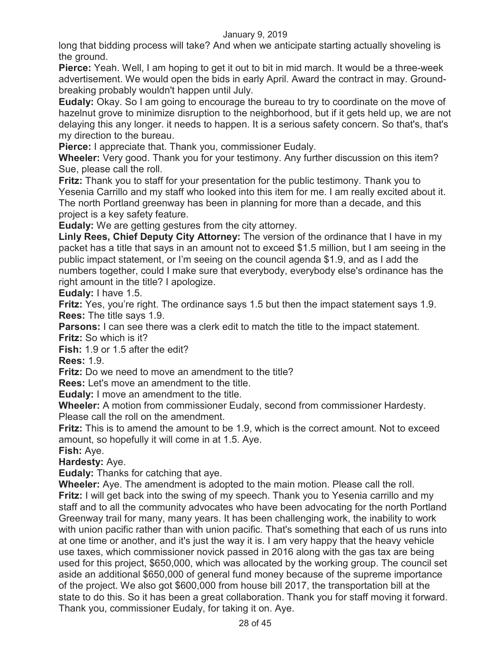long that bidding process will take? And when we anticipate starting actually shoveling is the ground.

**Pierce:** Yeah. Well, I am hoping to get it out to bit in mid march. It would be a three-week advertisement. We would open the bids in early April. Award the contract in may. Groundbreaking probably wouldn't happen until July.

**Eudaly:** Okay. So I am going to encourage the bureau to try to coordinate on the move of hazelnut grove to minimize disruption to the neighborhood, but if it gets held up, we are not delaying this any longer. it needs to happen. It is a serious safety concern. So that's, that's my direction to the bureau.

**Pierce:** I appreciate that. Thank you, commissioner Eudaly.

**Wheeler:** Very good. Thank you for your testimony. Any further discussion on this item? Sue, please call the roll.

**Fritz:** Thank you to staff for your presentation for the public testimony. Thank you to Yesenia Carrillo and my staff who looked into this item for me. I am really excited about it. The north Portland greenway has been in planning for more than a decade, and this project is a key safety feature.

**Eudaly:** We are getting gestures from the city attorney.

**Linly Rees, Chief Deputy City Attorney:** The version of the ordinance that I have in my packet has a title that says in an amount not to exceed \$1.5 million, but I am seeing in the public impact statement, or I'm seeing on the council agenda \$1.9, and as I add the numbers together, could I make sure that everybody, everybody else's ordinance has the right amount in the title? I apologize.

**Eudaly:** I have 1.5.

**Fritz:** Yes, you're right. The ordinance says 1.5 but then the impact statement says 1.9. **Rees:** The title says 1.9.

**Parsons:** I can see there was a clerk edit to match the title to the impact statement. **Fritz:** So which is it?

**Fish:** 1.9 or 1.5 after the edit?

**Rees:** 1.9.

**Fritz:** Do we need to move an amendment to the title?

Thank you, commissioner Eudaly, for taking it on. Aye.

**Rees:** Let's move an amendment to the title.

**Eudaly:** I move an amendment to the title.

**Wheeler:** A motion from commissioner Eudaly, second from commissioner Hardesty. Please call the roll on the amendment.

**Fritz:** This is to amend the amount to be 1.9, which is the correct amount. Not to exceed amount, so hopefully it will come in at 1.5. Aye.

**Fish:** Aye.

**Hardesty:** Aye.

**Eudaly:** Thanks for catching that aye.

**Wheeler:** Aye. The amendment is adopted to the main motion. Please call the roll. **Fritz:** I will get back into the swing of my speech. Thank you to Yesenia carrillo and my staff and to all the community advocates who have been advocating for the north Portland Greenway trail for many, many years. It has been challenging work, the inability to work with union pacific rather than with union pacific. That's something that each of us runs into at one time or another, and it's just the way it is. I am very happy that the heavy vehicle use taxes, which commissioner novick passed in 2016 along with the gas tax are being used for this project, \$650,000, which was allocated by the working group. The council set aside an additional \$650,000 of general fund money because of the supreme importance of the project. We also got \$600,000 from house bill 2017, the transportation bill at the state to do this. So it has been a great collaboration. Thank you for staff moving it forward.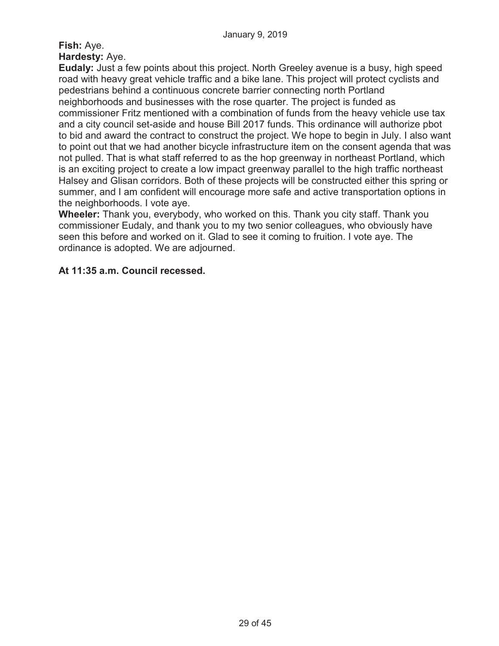# **Fish:** Aye. **Hardesty:** Aye.

**Eudaly:** Just a few points about this project. North Greeley avenue is a busy, high speed road with heavy great vehicle traffic and a bike lane. This project will protect cyclists and pedestrians behind a continuous concrete barrier connecting north Portland neighborhoods and businesses with the rose quarter. The project is funded as commissioner Fritz mentioned with a combination of funds from the heavy vehicle use tax and a city council set-aside and house Bill 2017 funds. This ordinance will authorize pbot to bid and award the contract to construct the project. We hope to begin in July. I also want to point out that we had another bicycle infrastructure item on the consent agenda that was not pulled. That is what staff referred to as the hop greenway in northeast Portland, which is an exciting project to create a low impact greenway parallel to the high traffic northeast Halsey and Glisan corridors. Both of these projects will be constructed either this spring or summer, and I am confident will encourage more safe and active transportation options in the neighborhoods. I vote aye.

**Wheeler:** Thank you, everybody, who worked on this. Thank you city staff. Thank you commissioner Eudaly, and thank you to my two senior colleagues, who obviously have seen this before and worked on it. Glad to see it coming to fruition. I vote aye. The ordinance is adopted. We are adjourned.

# **At 11:35 a.m. Council recessed.**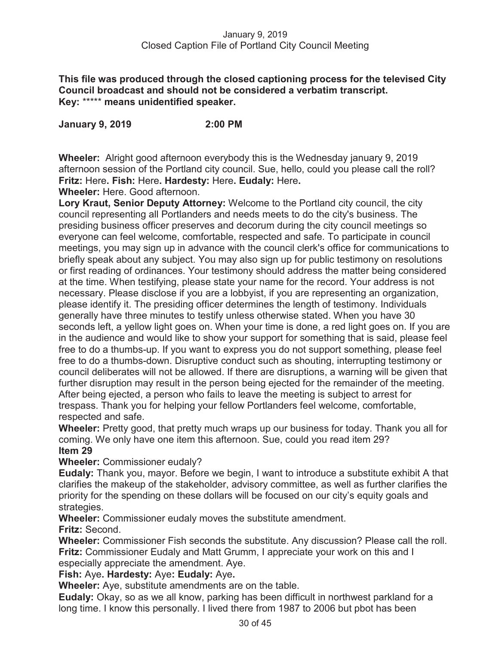**This file was produced through the closed captioning process for the televised City Council broadcast and should not be considered a verbatim transcript. Key:** \*\*\*\*\* **means unidentified speaker.** 

**January 9, 2019 2:00 PM** 

**Wheeler:** Alright good afternoon everybody this is the Wednesday january 9, 2019 afternoon session of the Portland city council. Sue, hello, could you please call the roll? **Fritz:** Here**. Fish:** Here**. Hardesty:** Here**. Eudaly:** Here**.** 

**Wheeler:** Here. Good afternoon.

**Lory Kraut, Senior Deputy Attorney:** Welcome to the Portland city council, the city council representing all Portlanders and needs meets to do the city's business. The presiding business officer preserves and decorum during the city council meetings so everyone can feel welcome, comfortable, respected and safe. To participate in council meetings, you may sign up in advance with the council clerk's office for communications to briefly speak about any subject. You may also sign up for public testimony on resolutions or first reading of ordinances. Your testimony should address the matter being considered at the time. When testifying, please state your name for the record. Your address is not necessary. Please disclose if you are a lobbyist, if you are representing an organization, please identify it. The presiding officer determines the length of testimony. Individuals generally have three minutes to testify unless otherwise stated. When you have 30 seconds left, a yellow light goes on. When your time is done, a red light goes on. If you are in the audience and would like to show your support for something that is said, please feel free to do a thumbs-up. If you want to express you do not support something, please feel free to do a thumbs-down. Disruptive conduct such as shouting, interrupting testimony or council deliberates will not be allowed. If there are disruptions, a warning will be given that further disruption may result in the person being ejected for the remainder of the meeting. After being ejected, a person who fails to leave the meeting is subject to arrest for trespass. Thank you for helping your fellow Portlanders feel welcome, comfortable, respected and safe.

**Wheeler:** Pretty good, that pretty much wraps up our business for today. Thank you all for coming. We only have one item this afternoon. Sue, could you read item 29? **Item 29** 

**Wheeler:** Commissioner eudaly?

**Eudaly:** Thank you, mayor. Before we begin, I want to introduce a substitute exhibit A that clarifies the makeup of the stakeholder, advisory committee, as well as further clarifies the priority for the spending on these dollars will be focused on our city's equity goals and strategies.

**Wheeler:** Commissioner eudaly moves the substitute amendment. **Fritz:** Second.

**Wheeler:** Commissioner Fish seconds the substitute. Any discussion? Please call the roll. **Fritz:** Commissioner Eudaly and Matt Grumm, I appreciate your work on this and I especially appreciate the amendment. Aye.

**Fish:** Aye**. Hardesty:** Aye**: Eudaly:** Aye**.** 

**Wheeler:** Aye, substitute amendments are on the table.

**Eudaly:** Okay, so as we all know, parking has been difficult in northwest parkland for a long time. I know this personally. I lived there from 1987 to 2006 but pbot has been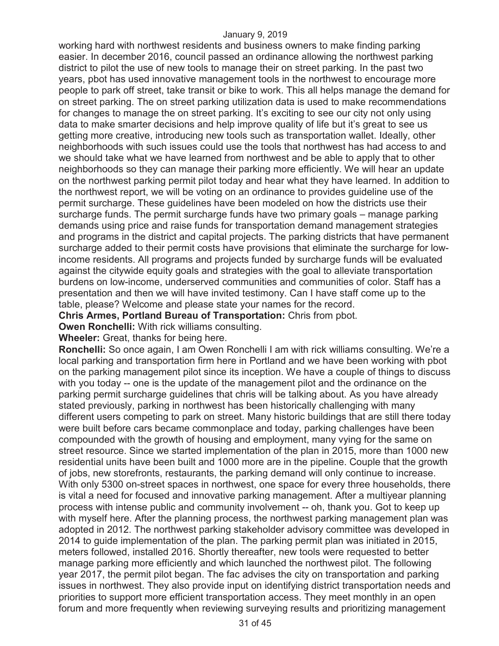working hard with northwest residents and business owners to make finding parking easier. In december 2016, council passed an ordinance allowing the northwest parking district to pilot the use of new tools to manage their on street parking. In the past two years, pbot has used innovative management tools in the northwest to encourage more people to park off street, take transit or bike to work. This all helps manage the demand for on street parking. The on street parking utilization data is used to make recommendations for changes to manage the on street parking. It's exciting to see our city not only using data to make smarter decisions and help improve quality of life but it's great to see us getting more creative, introducing new tools such as transportation wallet. Ideally, other neighborhoods with such issues could use the tools that northwest has had access to and we should take what we have learned from northwest and be able to apply that to other neighborhoods so they can manage their parking more efficiently. We will hear an update on the northwest parking permit pilot today and hear what they have learned. In addition to the northwest report, we will be voting on an ordinance to provides guideline use of the permit surcharge. These guidelines have been modeled on how the districts use their surcharge funds. The permit surcharge funds have two primary goals – manage parking demands using price and raise funds for transportation demand management strategies and programs in the district and capital projects. The parking districts that have permanent surcharge added to their permit costs have provisions that eliminate the surcharge for lowincome residents. All programs and projects funded by surcharge funds will be evaluated against the citywide equity goals and strategies with the goal to alleviate transportation burdens on low-income, underserved communities and communities of color. Staff has a presentation and then we will have invited testimony. Can I have staff come up to the table, please? Welcome and please state your names for the record.

**Chris Armes, Portland Bureau of Transportation:** Chris from pbot.

**Owen Ronchelli:** With rick williams consulting.

**Wheeler:** Great, thanks for being here.

**Ronchelli:** So once again, I am Owen Ronchelli I am with rick williams consulting. We're a local parking and transportation firm here in Portland and we have been working with pbot on the parking management pilot since its inception. We have a couple of things to discuss with you today -- one is the update of the management pilot and the ordinance on the parking permit surcharge guidelines that chris will be talking about. As you have already stated previously, parking in northwest has been historically challenging with many different users competing to park on street. Many historic buildings that are still there today were built before cars became commonplace and today, parking challenges have been compounded with the growth of housing and employment, many vying for the same on street resource. Since we started implementation of the plan in 2015, more than 1000 new residential units have been built and 1000 more are in the pipeline. Couple that the growth of jobs, new storefronts, restaurants, the parking demand will only continue to increase. With only 5300 on-street spaces in northwest, one space for every three households, there is vital a need for focused and innovative parking management. After a multiyear planning process with intense public and community involvement -- oh, thank you. Got to keep up with myself here. After the planning process, the northwest parking management plan was adopted in 2012. The northwest parking stakeholder advisory committee was developed in 2014 to guide implementation of the plan. The parking permit plan was initiated in 2015, meters followed, installed 2016. Shortly thereafter, new tools were requested to better manage parking more efficiently and which launched the northwest pilot. The following year 2017, the permit pilot began. The fac advises the city on transportation and parking issues in northwest. They also provide input on identifying district transportation needs and priorities to support more efficient transportation access. They meet monthly in an open forum and more frequently when reviewing surveying results and prioritizing management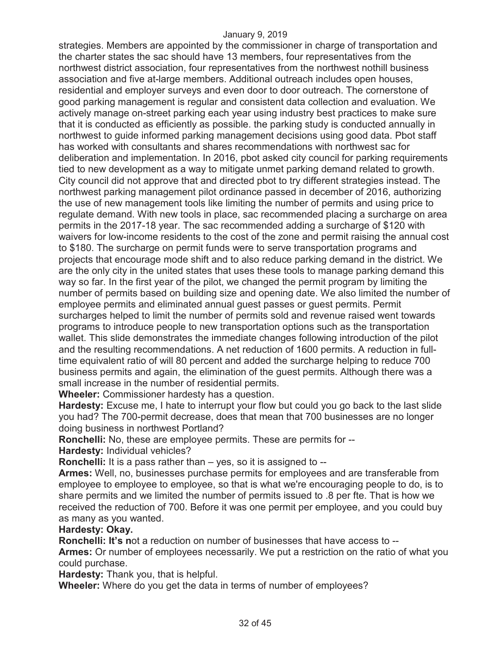strategies. Members are appointed by the commissioner in charge of transportation and the charter states the sac should have 13 members, four representatives from the northwest district association, four representatives from the northwest nothill business association and five at-large members. Additional outreach includes open houses, residential and employer surveys and even door to door outreach. The cornerstone of good parking management is regular and consistent data collection and evaluation. We actively manage on-street parking each year using industry best practices to make sure that it is conducted as efficiently as possible. the parking study is conducted annually in northwest to guide informed parking management decisions using good data. Pbot staff has worked with consultants and shares recommendations with northwest sac for deliberation and implementation. In 2016, pbot asked city council for parking requirements tied to new development as a way to mitigate unmet parking demand related to growth. City council did not approve that and directed pbot to try different strategies instead. The northwest parking management pilot ordinance passed in december of 2016, authorizing the use of new management tools like limiting the number of permits and using price to regulate demand. With new tools in place, sac recommended placing a surcharge on area permits in the 2017-18 year. The sac recommended adding a surcharge of \$120 with waivers for low-income residents to the cost of the zone and permit raising the annual cost to \$180. The surcharge on permit funds were to serve transportation programs and projects that encourage mode shift and to also reduce parking demand in the district. We are the only city in the united states that uses these tools to manage parking demand this way so far. In the first year of the pilot, we changed the permit program by limiting the number of permits based on building size and opening date. We also limited the number of employee permits and eliminated annual guest passes or guest permits. Permit surcharges helped to limit the number of permits sold and revenue raised went towards programs to introduce people to new transportation options such as the transportation wallet. This slide demonstrates the immediate changes following introduction of the pilot and the resulting recommendations. A net reduction of 1600 permits. A reduction in fulltime equivalent ratio of will 80 percent and added the surcharge helping to reduce 700 business permits and again, the elimination of the guest permits. Although there was a small increase in the number of residential permits.

**Wheeler:** Commissioner hardesty has a question.

**Hardesty:** Excuse me, I hate to interrupt your flow but could you go back to the last slide you had? The 700-permit decrease, does that mean that 700 businesses are no longer doing business in northwest Portland?

**Ronchelli:** No, these are employee permits. These are permits for --

**Hardesty:** Individual vehicles?

**Ronchelli:** It is a pass rather than – yes, so it is assigned to --

**Armes:** Well, no, businesses purchase permits for employees and are transferable from employee to employee to employee, so that is what we're encouraging people to do, is to share permits and we limited the number of permits issued to .8 per fte. That is how we received the reduction of 700. Before it was one permit per employee, and you could buy as many as you wanted.

#### **Hardesty: Okay.**

**Ronchelli: It's n**ot a reduction on number of businesses that have access to --

**Armes:** Or number of employees necessarily. We put a restriction on the ratio of what you could purchase.

**Hardesty:** Thank you, that is helpful.

**Wheeler:** Where do you get the data in terms of number of employees?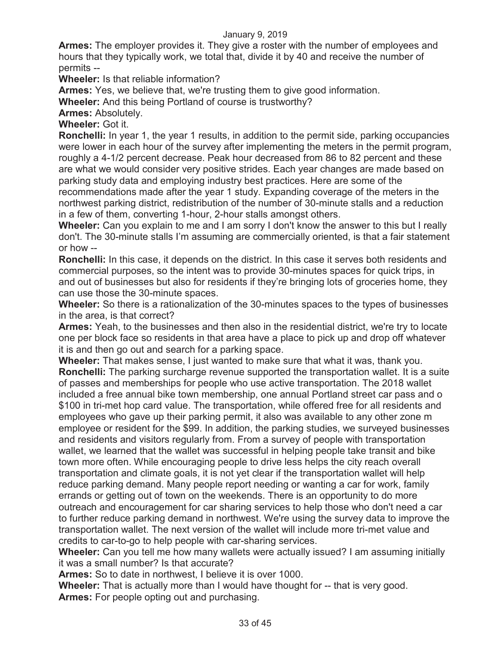**Armes:** The employer provides it. They give a roster with the number of employees and hours that they typically work, we total that, divide it by 40 and receive the number of permits --

**Wheeler:** Is that reliable information?

**Armes:** Yes, we believe that, we're trusting them to give good information.

**Wheeler:** And this being Portland of course is trustworthy?

**Armes:** Absolutely.

**Wheeler:** Got it.

**Ronchelli:** In year 1, the year 1 results, in addition to the permit side, parking occupancies were lower in each hour of the survey after implementing the meters in the permit program, roughly a 4-1/2 percent decrease. Peak hour decreased from 86 to 82 percent and these are what we would consider very positive strides. Each year changes are made based on parking study data and employing industry best practices. Here are some of the recommendations made after the year 1 study. Expanding coverage of the meters in the northwest parking district, redistribution of the number of 30-minute stalls and a reduction in a few of them, converting 1-hour, 2-hour stalls amongst others.

**Wheeler:** Can you explain to me and I am sorry I don't know the answer to this but I really don't. The 30-minute stalls I'm assuming are commercially oriented, is that a fair statement or how --

**Ronchelli:** In this case, it depends on the district. In this case it serves both residents and commercial purposes, so the intent was to provide 30-minutes spaces for quick trips, in and out of businesses but also for residents if they're bringing lots of groceries home, they can use those the 30-minute spaces.

**Wheeler:** So there is a rationalization of the 30-minutes spaces to the types of businesses in the area, is that correct?

**Armes:** Yeah, to the businesses and then also in the residential district, we're try to locate one per block face so residents in that area have a place to pick up and drop off whatever it is and then go out and search for a parking space.

**Wheeler:** That makes sense, I just wanted to make sure that what it was, thank you. **Ronchelli:** The parking surcharge revenue supported the transportation wallet. It is a suite of passes and memberships for people who use active transportation. The 2018 wallet included a free annual bike town membership, one annual Portland street car pass and o \$100 in tri-met hop card value. The transportation, while offered free for all residents and employees who gave up their parking permit, it also was available to any other zone m employee or resident for the \$99. In addition, the parking studies, we surveyed businesses and residents and visitors regularly from. From a survey of people with transportation wallet, we learned that the wallet was successful in helping people take transit and bike town more often. While encouraging people to drive less helps the city reach overall transportation and climate goals, it is not yet clear if the transportation wallet will help reduce parking demand. Many people report needing or wanting a car for work, family errands or getting out of town on the weekends. There is an opportunity to do more outreach and encouragement for car sharing services to help those who don't need a car to further reduce parking demand in northwest. We're using the survey data to improve the transportation wallet. The next version of the wallet will include more tri-met value and credits to car-to-go to help people with car-sharing services.

**Wheeler:** Can you tell me how many wallets were actually issued? I am assuming initially it was a small number? Is that accurate?

**Armes:** So to date in northwest, I believe it is over 1000.

**Wheeler:** That is actually more than I would have thought for -- that is very good. **Armes:** For people opting out and purchasing.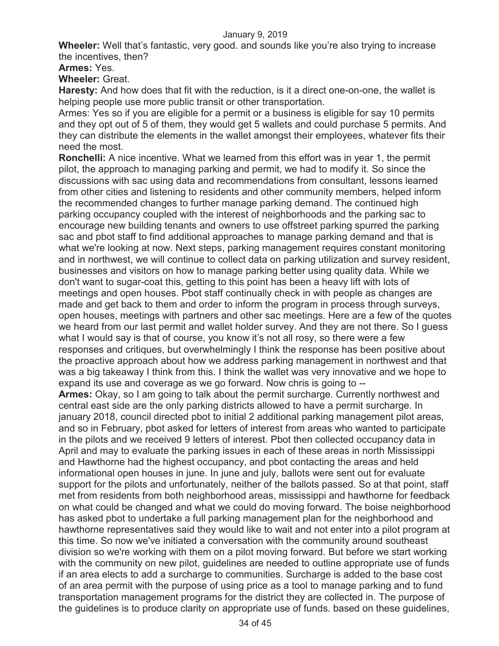**Wheeler:** Well that's fantastic, very good. and sounds like you're also trying to increase the incentives, then?

**Armes:** Yes.

**Wheeler:** Great.

**Haresty:** And how does that fit with the reduction, is it a direct one-on-one, the wallet is helping people use more public transit or other transportation.

Armes: Yes so if you are eligible for a permit or a business is eligible for say 10 permits and they opt out of 5 of them, they would get 5 wallets and could purchase 5 permits. And they can distribute the elements in the wallet amongst their employees, whatever fits their need the most.

**Ronchelli:** A nice incentive. What we learned from this effort was in year 1, the permit pilot, the approach to managing parking and permit, we had to modify it. So since the discussions with sac using data and recommendations from consultant, lessons learned from other cities and listening to residents and other community members, helped inform the recommended changes to further manage parking demand. The continued high parking occupancy coupled with the interest of neighborhoods and the parking sac to encourage new building tenants and owners to use offstreet parking spurred the parking sac and pbot staff to find additional approaches to manage parking demand and that is what we're looking at now. Next steps, parking management requires constant monitoring and in northwest, we will continue to collect data on parking utilization and survey resident, businesses and visitors on how to manage parking better using quality data. While we don't want to sugar-coat this, getting to this point has been a heavy lift with lots of meetings and open houses. Pbot staff continually check in with people as changes are made and get back to them and order to inform the program in process through surveys, open houses, meetings with partners and other sac meetings. Here are a few of the quotes we heard from our last permit and wallet holder survey. And they are not there. So I guess what I would say is that of course, you know it's not all rosy, so there were a few responses and critiques, but overwhelmingly I think the response has been positive about the proactive approach about how we address parking management in northwest and that was a big takeaway I think from this. I think the wallet was very innovative and we hope to expand its use and coverage as we go forward. Now chris is going to --

**Armes:** Okay, so I am going to talk about the permit surcharge. Currently northwest and central east side are the only parking districts allowed to have a permit surcharge. In january 2018, council directed pbot to initial 2 additional parking management pilot areas, and so in February, pbot asked for letters of interest from areas who wanted to participate in the pilots and we received 9 letters of interest. Pbot then collected occupancy data in April and may to evaluate the parking issues in each of these areas in north Mississippi and Hawthorne had the highest occupancy, and pbot contacting the areas and held informational open houses in june. In june and july, ballots were sent out for evaluate support for the pilots and unfortunately, neither of the ballots passed. So at that point, staff met from residents from both neighborhood areas, mississippi and hawthorne for feedback on what could be changed and what we could do moving forward. The boise neighborhood has asked pbot to undertake a full parking management plan for the neighborhood and hawthorne representatives said they would like to wait and not enter into a pilot program at this time. So now we've initiated a conversation with the community around southeast division so we're working with them on a pilot moving forward. But before we start working with the community on new pilot, guidelines are needed to outline appropriate use of funds if an area elects to add a surcharge to communities. Surcharge is added to the base cost of an area permit with the purpose of using price as a tool to manage parking and to fund transportation management programs for the district they are collected in. The purpose of the guidelines is to produce clarity on appropriate use of funds. based on these guidelines,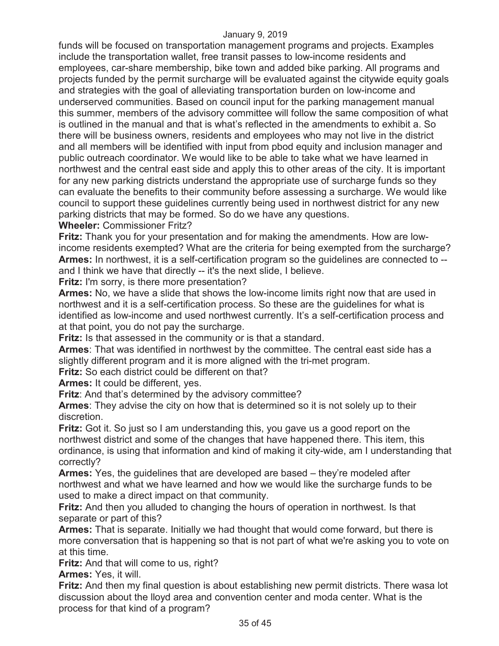funds will be focused on transportation management programs and projects. Examples include the transportation wallet, free transit passes to low-income residents and employees, car-share membership, bike town and added bike parking. All programs and projects funded by the permit surcharge will be evaluated against the citywide equity goals and strategies with the goal of alleviating transportation burden on low-income and underserved communities. Based on council input for the parking management manual this summer, members of the advisory committee will follow the same composition of what is outlined in the manual and that is what's reflected in the amendments to exhibit a. So there will be business owners, residents and employees who may not live in the district and all members will be identified with input from pbod equity and inclusion manager and public outreach coordinator. We would like to be able to take what we have learned in northwest and the central east side and apply this to other areas of the city. It is important for any new parking districts understand the appropriate use of surcharge funds so they can evaluate the benefits to their community before assessing a surcharge. We would like council to support these guidelines currently being used in northwest district for any new parking districts that may be formed. So do we have any questions.

# **Wheeler:** Commissioner Fritz?

**Fritz:** Thank you for your presentation and for making the amendments. How are lowincome residents exempted? What are the criteria for being exempted from the surcharge? **Armes:** In northwest, it is a self-certification program so the guidelines are connected to - and I think we have that directly -- it's the next slide, I believe.

**Fritz:** I'm sorry, is there more presentation?

**Armes:** No, we have a slide that shows the low-income limits right now that are used in northwest and it is a self-certification process. So these are the guidelines for what is identified as low-income and used northwest currently. It's a self-certification process and at that point, you do not pay the surcharge.

**Fritz:** Is that assessed in the community or is that a standard.

**Armes**: That was identified in northwest by the committee. The central east side has a slightly different program and it is more aligned with the tri-met program.

**Fritz:** So each district could be different on that?

**Armes:** It could be different, yes.

**Fritz**: And that's determined by the advisory committee?

**Armes**: They advise the city on how that is determined so it is not solely up to their discretion.

**Fritz:** Got it. So just so I am understanding this, you gave us a good report on the northwest district and some of the changes that have happened there. This item, this ordinance, is using that information and kind of making it city-wide, am I understanding that correctly?

**Armes:** Yes, the guidelines that are developed are based – they're modeled after northwest and what we have learned and how we would like the surcharge funds to be used to make a direct impact on that community.

**Fritz:** And then you alluded to changing the hours of operation in northwest. Is that separate or part of this?

**Armes:** That is separate. Initially we had thought that would come forward, but there is more conversation that is happening so that is not part of what we're asking you to vote on at this time.

**Fritz:** And that will come to us, right?

**Armes:** Yes, it will.

**Fritz:** And then my final question is about establishing new permit districts. There wasa lot discussion about the lloyd area and convention center and moda center. What is the process for that kind of a program?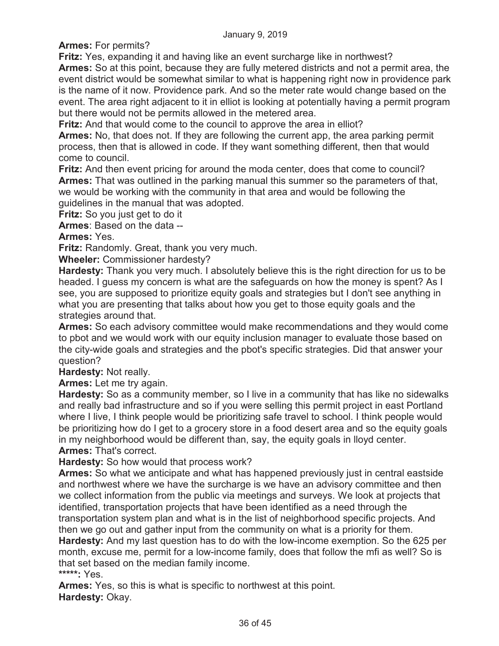**Armes:** For permits?

**Fritz:** Yes, expanding it and having like an event surcharge like in northwest?

**Armes:** So at this point, because they are fully metered districts and not a permit area, the event district would be somewhat similar to what is happening right now in providence park is the name of it now. Providence park. And so the meter rate would change based on the event. The area right adjacent to it in elliot is looking at potentially having a permit program but there would not be permits allowed in the metered area.

**Fritz:** And that would come to the council to approve the area in elliot?

**Armes:** No, that does not. If they are following the current app, the area parking permit process, then that is allowed in code. If they want something different, then that would come to council.

**Fritz:** And then event pricing for around the moda center, does that come to council? **Armes:** That was outlined in the parking manual this summer so the parameters of that, we would be working with the community in that area and would be following the guidelines in the manual that was adopted.

**Fritz:** So you just get to do it

**Armes**: Based on the data --

**Armes:** Yes.

**Fritz:** Randomly. Great, thank you very much.

**Wheeler:** Commissioner hardesty?

**Hardesty:** Thank you very much. I absolutely believe this is the right direction for us to be headed. I guess my concern is what are the safeguards on how the money is spent? As I see, you are supposed to prioritize equity goals and strategies but I don't see anything in what you are presenting that talks about how you get to those equity goals and the strategies around that.

**Armes:** So each advisory committee would make recommendations and they would come to pbot and we would work with our equity inclusion manager to evaluate those based on the city-wide goals and strategies and the pbot's specific strategies. Did that answer your question?

**Hardesty:** Not really.

**Armes:** Let me try again.

**Hardesty:** So as a community member, so I live in a community that has like no sidewalks and really bad infrastructure and so if you were selling this permit project in east Portland where I live, I think people would be prioritizing safe travel to school. I think people would be prioritizing how do I get to a grocery store in a food desert area and so the equity goals in my neighborhood would be different than, say, the equity goals in lloyd center. **Armes:** That's correct.

**Hardesty:** So how would that process work?

**Armes:** So what we anticipate and what has happened previously just in central eastside and northwest where we have the surcharge is we have an advisory committee and then we collect information from the public via meetings and surveys. We look at projects that identified, transportation projects that have been identified as a need through the transportation system plan and what is in the list of neighborhood specific projects. And then we go out and gather input from the community on what is a priority for them.

**Hardesty:** And my last question has to do with the low-income exemption. So the 625 per month, excuse me, permit for a low-income family, does that follow the mfi as well? So is that set based on the median family income.

**\*\*\*\*\*:** Yes.

**Armes:** Yes, so this is what is specific to northwest at this point. **Hardesty:** Okay.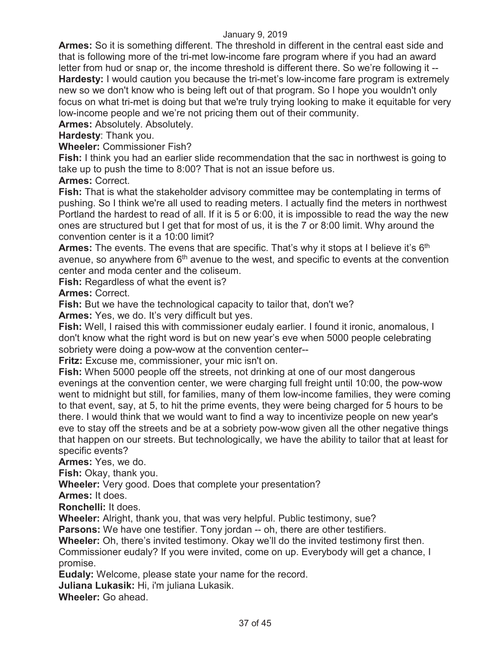**Armes:** So it is something different. The threshold in different in the central east side and that is following more of the tri-met low-income fare program where if you had an award letter from hud or snap or, the income threshold is different there. So we're following it -- **Hardesty:** I would caution you because the tri-met's low-income fare program is extremely new so we don't know who is being left out of that program. So I hope you wouldn't only focus on what tri-met is doing but that we're truly trying looking to make it equitable for very low-income people and we're not pricing them out of their community.

**Armes:** Absolutely. Absolutely.

**Hardesty**: Thank you.

**Wheeler:** Commissioner Fish?

**Fish:** I think you had an earlier slide recommendation that the sac in northwest is going to take up to push the time to 8:00? That is not an issue before us.

**Armes:** Correct.

**Fish:** That is what the stakeholder advisory committee may be contemplating in terms of pushing. So I think we're all used to reading meters. I actually find the meters in northwest Portland the hardest to read of all. If it is 5 or 6:00, it is impossible to read the way the new ones are structured but I get that for most of us, it is the 7 or 8:00 limit. Why around the convention center is it a 10:00 limit?

**Armes:** The events. The evens that are specific. That's why it stops at I believe it's 6<sup>th</sup> avenue, so anywhere from  $6<sup>th</sup>$  avenue to the west, and specific to events at the convention center and moda center and the coliseum.

**Fish:** Regardless of what the event is?

**Armes:** Correct.

**Fish:** But we have the technological capacity to tailor that, don't we?

**Armes:** Yes, we do. It's very difficult but yes.

**Fish:** Well, I raised this with commissioner eudaly earlier. I found it ironic, anomalous, I don't know what the right word is but on new year's eve when 5000 people celebrating sobriety were doing a pow-wow at the convention center--

**Fritz:** Excuse me, commissioner, your mic isn't on.

**Fish:** When 5000 people off the streets, not drinking at one of our most dangerous evenings at the convention center, we were charging full freight until 10:00, the pow-wow went to midnight but still, for families, many of them low-income families, they were coming to that event, say, at 5, to hit the prime events, they were being charged for 5 hours to be there. I would think that we would want to find a way to incentivize people on new year's eve to stay off the streets and be at a sobriety pow-wow given all the other negative things that happen on our streets. But technologically, we have the ability to tailor that at least for specific events?

**Armes:** Yes, we do.

**Fish:** Okay, thank you.

**Wheeler:** Very good. Does that complete your presentation?

**Armes:** It does.

**Ronchelli:** It does.

**Wheeler:** Alright, thank you, that was very helpful. Public testimony, sue?

**Parsons:** We have one testifier. Tony jordan -- oh, there are other testifiers.

**Wheeler:** Oh, there's invited testimony. Okay we'll do the invited testimony first then.

Commissioner eudaly? If you were invited, come on up. Everybody will get a chance, I promise.

**Eudaly:** Welcome, please state your name for the record.

**Juliana Lukasik:** Hi, i'm juliana Lukasik.

**Wheeler:** Go ahead.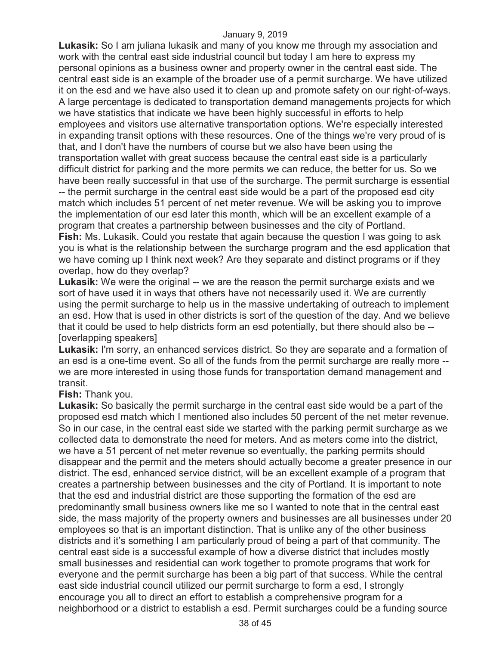**Lukasik:** So I am juliana lukasik and many of you know me through my association and work with the central east side industrial council but today I am here to express my personal opinions as a business owner and property owner in the central east side. The central east side is an example of the broader use of a permit surcharge. We have utilized it on the esd and we have also used it to clean up and promote safety on our right-of-ways. A large percentage is dedicated to transportation demand managements projects for which we have statistics that indicate we have been highly successful in efforts to help employees and visitors use alternative transportation options. We're especially interested in expanding transit options with these resources. One of the things we're very proud of is that, and I don't have the numbers of course but we also have been using the transportation wallet with great success because the central east side is a particularly difficult district for parking and the more permits we can reduce, the better for us. So we have been really successful in that use of the surcharge. The permit surcharge is essential -- the permit surcharge in the central east side would be a part of the proposed esd city match which includes 51 percent of net meter revenue. We will be asking you to improve the implementation of our esd later this month, which will be an excellent example of a program that creates a partnership between businesses and the city of Portland. **Fish:** Ms. Lukasik. Could you restate that again because the question I was going to ask you is what is the relationship between the surcharge program and the esd application that we have coming up I think next week? Are they separate and distinct programs or if they overlap, how do they overlap?

**Lukasik:** We were the original -- we are the reason the permit surcharge exists and we sort of have used it in ways that others have not necessarily used it. We are currently using the permit surcharge to help us in the massive undertaking of outreach to implement an esd. How that is used in other districts is sort of the question of the day. And we believe that it could be used to help districts form an esd potentially, but there should also be -- [overlapping speakers]

**Lukasik:** I'm sorry, an enhanced services district. So they are separate and a formation of an esd is a one-time event. So all of the funds from the permit surcharge are really more - we are more interested in using those funds for transportation demand management and transit.

**Fish:** Thank you.

**Lukasik:** So basically the permit surcharge in the central east side would be a part of the proposed esd match which I mentioned also includes 50 percent of the net meter revenue. So in our case, in the central east side we started with the parking permit surcharge as we collected data to demonstrate the need for meters. And as meters come into the district, we have a 51 percent of net meter revenue so eventually, the parking permits should disappear and the permit and the meters should actually become a greater presence in our district. The esd, enhanced service district, will be an excellent example of a program that creates a partnership between businesses and the city of Portland. It is important to note that the esd and industrial district are those supporting the formation of the esd are predominantly small business owners like me so I wanted to note that in the central east side, the mass majority of the property owners and businesses are all businesses under 20 employees so that is an important distinction. That is unlike any of the other business districts and it's something I am particularly proud of being a part of that community. The central east side is a successful example of how a diverse district that includes mostly small businesses and residential can work together to promote programs that work for everyone and the permit surcharge has been a big part of that success. While the central east side industrial council utilized our permit surcharge to form a esd, I strongly encourage you all to direct an effort to establish a comprehensive program for a neighborhood or a district to establish a esd. Permit surcharges could be a funding source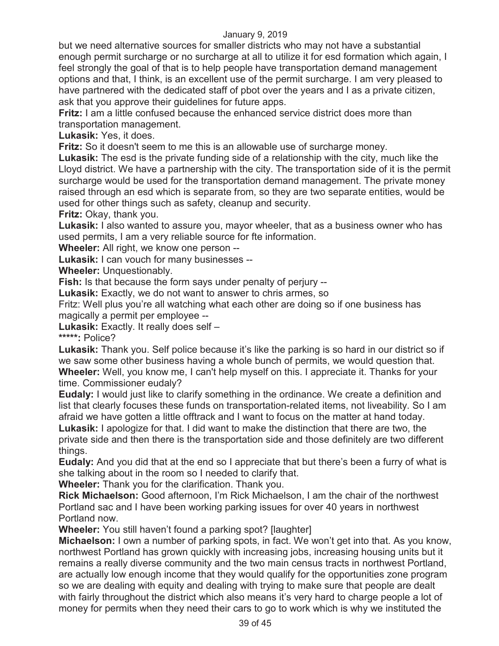but we need alternative sources for smaller districts who may not have a substantial enough permit surcharge or no surcharge at all to utilize it for esd formation which again, I feel strongly the goal of that is to help people have transportation demand management options and that, I think, is an excellent use of the permit surcharge. I am very pleased to have partnered with the dedicated staff of pbot over the years and I as a private citizen, ask that you approve their guidelines for future apps.

**Fritz:** I am a little confused because the enhanced service district does more than transportation management.

**Lukasik:** Yes, it does.

**Fritz:** So it doesn't seem to me this is an allowable use of surcharge money.

**Lukasik:** The esd is the private funding side of a relationship with the city, much like the Lloyd district. We have a partnership with the city. The transportation side of it is the permit surcharge would be used for the transportation demand management. The private money raised through an esd which is separate from, so they are two separate entities, would be used for other things such as safety, cleanup and security.

**Fritz:** Okay, thank you.

**Lukasik:** I also wanted to assure you, mayor wheeler, that as a business owner who has used permits, I am a very reliable source for fte information.

**Wheeler:** All right, we know one person --

**Lukasik:** I can vouch for many businesses --

**Wheeler:** Unquestionably.

**Fish:** Is that because the form says under penalty of perjury --

**Lukasik:** Exactly, we do not want to answer to chris armes, so

Fritz: Well plus you're all watching what each other are doing so if one business has magically a permit per employee --

**Lukasik:** Exactly. It really does self –

**\*\*\*\*\*:** Police?

**Lukasik:** Thank you. Self police because it's like the parking is so hard in our district so if we saw some other business having a whole bunch of permits, we would question that. **Wheeler:** Well, you know me, I can't help myself on this. I appreciate it. Thanks for your time. Commissioner eudaly?

**Eudaly:** I would just like to clarify something in the ordinance. We create a definition and list that clearly focuses these funds on transportation-related items, not liveability. So I am afraid we have gotten a little offtrack and I want to focus on the matter at hand today. **Lukasik:** I apologize for that. I did want to make the distinction that there are two, the

private side and then there is the transportation side and those definitely are two different things.

**Eudaly:** And you did that at the end so I appreciate that but there's been a furry of what is she talking about in the room so I needed to clarify that.

**Wheeler:** Thank you for the clarification. Thank you.

**Rick Michaelson:** Good afternoon, I'm Rick Michaelson, I am the chair of the northwest Portland sac and I have been working parking issues for over 40 years in northwest Portland now.

**Wheeler:** You still haven't found a parking spot? [laughter]

**Michaelson:** I own a number of parking spots, in fact. We won't get into that. As you know, northwest Portland has grown quickly with increasing jobs, increasing housing units but it remains a really diverse community and the two main census tracts in northwest Portland, are actually low enough income that they would qualify for the opportunities zone program so we are dealing with equity and dealing with trying to make sure that people are dealt with fairly throughout the district which also means it's very hard to charge people a lot of money for permits when they need their cars to go to work which is why we instituted the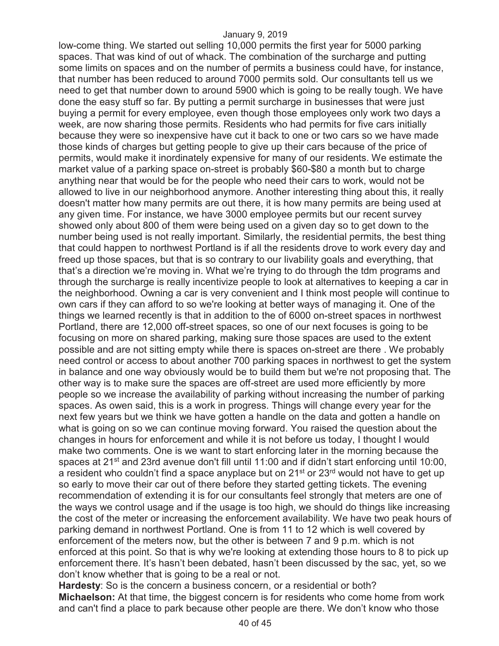low-come thing. We started out selling 10,000 permits the first year for 5000 parking spaces. That was kind of out of whack. The combination of the surcharge and putting some limits on spaces and on the number of permits a business could have, for instance, that number has been reduced to around 7000 permits sold. Our consultants tell us we need to get that number down to around 5900 which is going to be really tough. We have done the easy stuff so far. By putting a permit surcharge in businesses that were just buying a permit for every employee, even though those employees only work two days a week, are now sharing those permits. Residents who had permits for five cars initially because they were so inexpensive have cut it back to one or two cars so we have made those kinds of charges but getting people to give up their cars because of the price of permits, would make it inordinately expensive for many of our residents. We estimate the market value of a parking space on-street is probably \$60-\$80 a month but to charge anything near that would be for the people who need their cars to work, would not be allowed to live in our neighborhood anymore. Another interesting thing about this, it really doesn't matter how many permits are out there, it is how many permits are being used at any given time. For instance, we have 3000 employee permits but our recent survey showed only about 800 of them were being used on a given day so to get down to the number being used is not really important. Similarly, the residential permits, the best thing that could happen to northwest Portland is if all the residents drove to work every day and freed up those spaces, but that is so contrary to our livability goals and everything, that that's a direction we're moving in. What we're trying to do through the tdm programs and through the surcharge is really incentivize people to look at alternatives to keeping a car in the neighborhood. Owning a car is very convenient and I think most people will continue to own cars if they can afford to so we're looking at better ways of managing it. One of the things we learned recently is that in addition to the of 6000 on-street spaces in northwest Portland, there are 12,000 off-street spaces, so one of our next focuses is going to be focusing on more on shared parking, making sure those spaces are used to the extent possible and are not sitting empty while there is spaces on-street are there . We probably need control or access to about another 700 parking spaces in northwest to get the system in balance and one way obviously would be to build them but we're not proposing that. The other way is to make sure the spaces are off-street are used more efficiently by more people so we increase the availability of parking without increasing the number of parking spaces. As owen said, this is a work in progress. Things will change every year for the next few years but we think we have gotten a handle on the data and gotten a handle on what is going on so we can continue moving forward. You raised the question about the changes in hours for enforcement and while it is not before us today, I thought I would make two comments. One is we want to start enforcing later in the morning because the spaces at 21<sup>st</sup> and 23rd avenue don't fill until 11:00 and if didn't start enforcing until 10:00, a resident who couldn't find a space anyplace but on  $21^{st}$  or  $23^{rd}$  would not have to get up so early to move their car out of there before they started getting tickets. The evening recommendation of extending it is for our consultants feel strongly that meters are one of the ways we control usage and if the usage is too high, we should do things like increasing the cost of the meter or increasing the enforcement availability. We have two peak hours of parking demand in northwest Portland. One is from 11 to 12 which is well covered by enforcement of the meters now, but the other is between 7 and 9 p.m. which is not enforced at this point. So that is why we're looking at extending those hours to 8 to pick up enforcement there. It's hasn't been debated, hasn't been discussed by the sac, yet, so we don't know whether that is going to be a real or not.

**Hardesty**: So is the concern a business concern, or a residential or both? **Michaelson:** At that time, the biggest concern is for residents who come home from work and can't find a place to park because other people are there. We don't know who those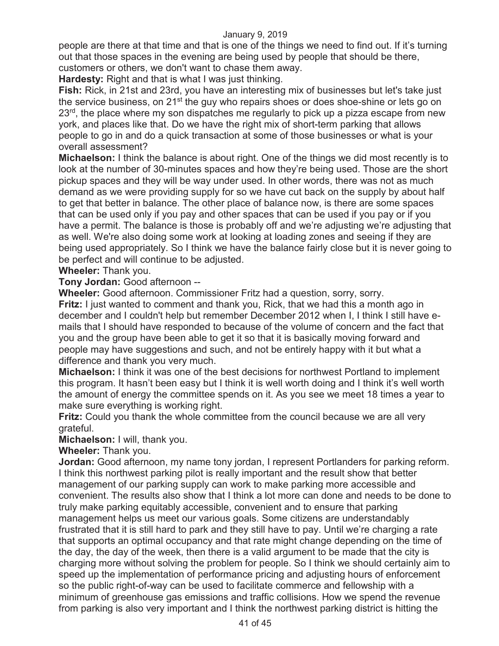people are there at that time and that is one of the things we need to find out. If it's turning out that those spaces in the evening are being used by people that should be there, customers or others, we don't want to chase them away.

**Hardesty:** Right and that is what I was just thinking.

**Fish:** Rick, in 21st and 23rd, you have an interesting mix of businesses but let's take just the service business, on 21<sup>st</sup> the guy who repairs shoes or does shoe-shine or lets go on  $23<sup>rd</sup>$ , the place where my son dispatches me regularly to pick up a pizza escape from new york, and places like that. Do we have the right mix of short-term parking that allows people to go in and do a quick transaction at some of those businesses or what is your overall assessment?

**Michaelson:** I think the balance is about right. One of the things we did most recently is to look at the number of 30-minutes spaces and how they're being used. Those are the short pickup spaces and they will be way under used. In other words, there was not as much demand as we were providing supply for so we have cut back on the supply by about half to get that better in balance. The other place of balance now, is there are some spaces that can be used only if you pay and other spaces that can be used if you pay or if you have a permit. The balance is those is probably off and we're adjusting we're adjusting that as well. We're also doing some work at looking at loading zones and seeing if they are being used appropriately. So I think we have the balance fairly close but it is never going to be perfect and will continue to be adjusted.

**Wheeler:** Thank you.

**Tony Jordan:** Good afternoon --

**Wheeler:** Good afternoon. Commissioner Fritz had a question, sorry, sorry. **Fritz:** I just wanted to comment and thank you, Rick, that we had this a month ago in december and I couldn't help but remember December 2012 when I, I think I still have e-

mails that I should have responded to because of the volume of concern and the fact that you and the group have been able to get it so that it is basically moving forward and people may have suggestions and such, and not be entirely happy with it but what a difference and thank you very much.

**Michaelson:** I think it was one of the best decisions for northwest Portland to implement this program. It hasn't been easy but I think it is well worth doing and I think it's well worth the amount of energy the committee spends on it. As you see we meet 18 times a year to make sure everything is working right.

**Fritz:** Could you thank the whole committee from the council because we are all very grateful.

**Michaelson:** I will, thank you.

**Wheeler:** Thank you.

**Jordan:** Good afternoon, my name tony jordan, I represent Portlanders for parking reform. I think this northwest parking pilot is really important and the result show that better management of our parking supply can work to make parking more accessible and convenient. The results also show that I think a lot more can done and needs to be done to truly make parking equitably accessible, convenient and to ensure that parking management helps us meet our various goals. Some citizens are understandably frustrated that it is still hard to park and they still have to pay. Until we're charging a rate that supports an optimal occupancy and that rate might change depending on the time of the day, the day of the week, then there is a valid argument to be made that the city is charging more without solving the problem for people. So I think we should certainly aim to speed up the implementation of performance pricing and adjusting hours of enforcement so the public right-of-way can be used to facilitate commerce and fellowship with a minimum of greenhouse gas emissions and traffic collisions. How we spend the revenue from parking is also very important and I think the northwest parking district is hitting the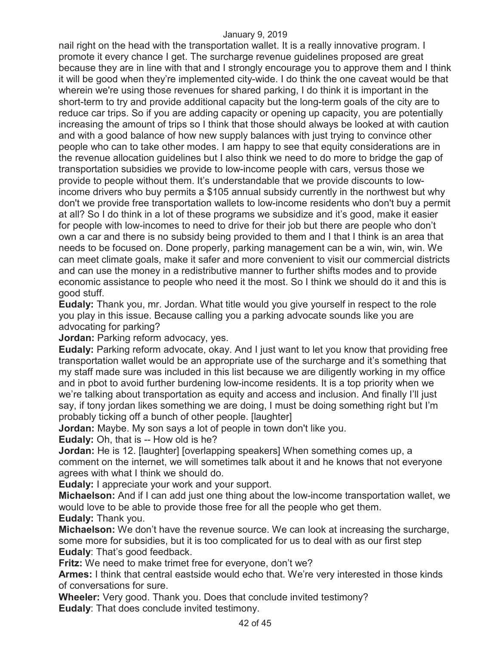nail right on the head with the transportation wallet. It is a really innovative program. I promote it every chance I get. The surcharge revenue guidelines proposed are great because they are in line with that and I strongly encourage you to approve them and I think it will be good when they're implemented city-wide. I do think the one caveat would be that wherein we're using those revenues for shared parking, I do think it is important in the short-term to try and provide additional capacity but the long-term goals of the city are to reduce car trips. So if you are adding capacity or opening up capacity, you are potentially increasing the amount of trips so I think that those should always be looked at with caution and with a good balance of how new supply balances with just trying to convince other people who can to take other modes. I am happy to see that equity considerations are in the revenue allocation guidelines but I also think we need to do more to bridge the gap of transportation subsidies we provide to low-income people with cars, versus those we provide to people without them. It's understandable that we provide discounts to lowincome drivers who buy permits a \$105 annual subsidy currently in the northwest but why don't we provide free transportation wallets to low-income residents who don't buy a permit at all? So I do think in a lot of these programs we subsidize and it's good, make it easier for people with low-incomes to need to drive for their job but there are people who don't own a car and there is no subsidy being provided to them and I that I think is an area that needs to be focused on. Done properly, parking management can be a win, win, win. We can meet climate goals, make it safer and more convenient to visit our commercial districts and can use the money in a redistributive manner to further shifts modes and to provide economic assistance to people who need it the most. So I think we should do it and this is good stuff.

**Eudaly:** Thank you, mr. Jordan. What title would you give yourself in respect to the role you play in this issue. Because calling you a parking advocate sounds like you are advocating for parking?

**Jordan:** Parking reform advocacy, yes.

**Eudaly:** Parking reform advocate, okay. And I just want to let you know that providing free transportation wallet would be an appropriate use of the surcharge and it's something that my staff made sure was included in this list because we are diligently working in my office and in pbot to avoid further burdening low-income residents. It is a top priority when we we're talking about transportation as equity and access and inclusion. And finally I'll just say, if tony jordan likes something we are doing, I must be doing something right but I'm probably ticking off a bunch of other people. [laughter]

**Jordan:** Maybe. My son says a lot of people in town don't like you.

**Eudaly:** Oh, that is -- How old is he?

**Jordan:** He is 12. [laughter] [overlapping speakers] When something comes up, a comment on the internet, we will sometimes talk about it and he knows that not everyone agrees with what I think we should do.

**Eudaly:** I appreciate your work and your support.

**Michaelson:** And if I can add just one thing about the low-income transportation wallet, we would love to be able to provide those free for all the people who get them. **Eudaly:** Thank you.

**Michaelson:** We don't have the revenue source. We can look at increasing the surcharge, some more for subsidies, but it is too complicated for us to deal with as our first step **Eudaly**: That's good feedback.

**Fritz:** We need to make trimet free for everyone, don't we?

**Armes:** I think that central eastside would echo that. We're very interested in those kinds of conversations for sure.

**Wheeler:** Very good. Thank you. Does that conclude invited testimony? **Eudaly**: That does conclude invited testimony.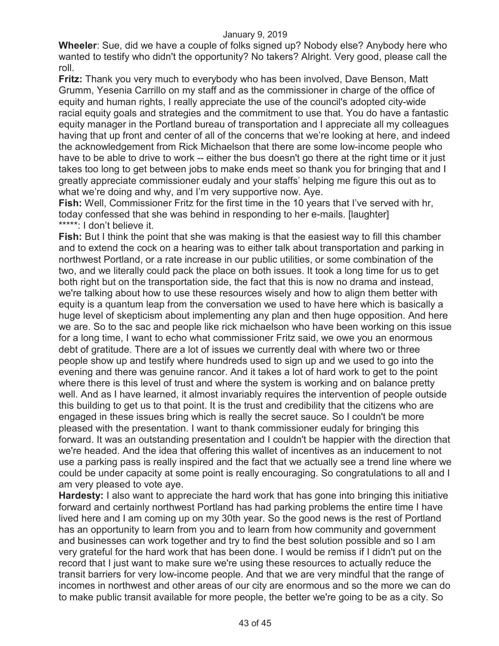**Wheeler**: Sue, did we have a couple of folks signed up? Nobody else? Anybody here who wanted to testify who didn't the opportunity? No takers? Alright. Very good, please call the roll.

**Fritz:** Thank you very much to everybody who has been involved, Dave Benson, Matt Grumm, Yesenia Carrillo on my staff and as the commissioner in charge of the office of equity and human rights, I really appreciate the use of the council's adopted city-wide racial equity goals and strategies and the commitment to use that. You do have a fantastic equity manager in the Portland bureau of transportation and I appreciate all my colleagues having that up front and center of all of the concerns that we're looking at here, and indeed the acknowledgement from Rick Michaelson that there are some low-income people who have to be able to drive to work -- either the bus doesn't go there at the right time or it just takes too long to get between jobs to make ends meet so thank you for bringing that and I greatly appreciate commissioner eudaly and your staffs' helping me figure this out as to what we're doing and why, and I'm very supportive now. Aye.

**Fish:** Well, Commissioner Fritz for the first time in the 10 years that I've served with hr, today confessed that she was behind in responding to her e-mails. [laughter] \*\*\*\*\*: I don't believe it.

**Fish:** But I think the point that she was making is that the easiest way to fill this chamber and to extend the cock on a hearing was to either talk about transportation and parking in northwest Portland, or a rate increase in our public utilities, or some combination of the two, and we literally could pack the place on both issues. It took a long time for us to get both right but on the transportation side, the fact that this is now no drama and instead, we're talking about how to use these resources wisely and how to align them better with equity is a quantum leap from the conversation we used to have here which is basically a huge level of skepticism about implementing any plan and then huge opposition. And here we are. So to the sac and people like rick michaelson who have been working on this issue for a long time, I want to echo what commissioner Fritz said, we owe you an enormous debt of gratitude. There are a lot of issues we currently deal with where two or three people show up and testify where hundreds used to sign up and we used to go into the evening and there was genuine rancor. And it takes a lot of hard work to get to the point where there is this level of trust and where the system is working and on balance pretty well. And as I have learned, it almost invariably requires the intervention of people outside this building to get us to that point. It is the trust and credibility that the citizens who are engaged in these issues bring which is really the secret sauce. So I couldn't be more pleased with the presentation. I want to thank commissioner eudaly for bringing this forward. It was an outstanding presentation and I couldn't be happier with the direction that we're headed. And the idea that offering this wallet of incentives as an inducement to not use a parking pass is really inspired and the fact that we actually see a trend line where we could be under capacity at some point is really encouraging. So congratulations to all and I am very pleased to vote aye.

**Hardesty:** I also want to appreciate the hard work that has gone into bringing this initiative forward and certainly northwest Portland has had parking problems the entire time I have lived here and I am coming up on my 30th year. So the good news is the rest of Portland has an opportunity to learn from you and to learn from how community and government and businesses can work together and try to find the best solution possible and so I am very grateful for the hard work that has been done. I would be remiss if I didn't put on the record that I just want to make sure we're using these resources to actually reduce the transit barriers for very low-income people. And that we are very mindful that the range of incomes in northwest and other areas of our city are enormous and so the more we can do to make public transit available for more people, the better we're going to be as a city. So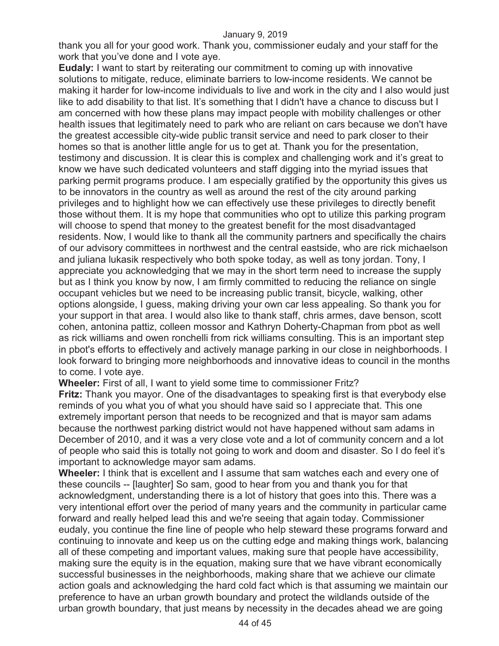thank you all for your good work. Thank you, commissioner eudaly and your staff for the work that you've done and I vote aye.

**Eudaly:** I want to start by reiterating our commitment to coming up with innovative solutions to mitigate, reduce, eliminate barriers to low-income residents. We cannot be making it harder for low-income individuals to live and work in the city and I also would just like to add disability to that list. It's something that I didn't have a chance to discuss but I am concerned with how these plans may impact people with mobility challenges or other health issues that legitimately need to park who are reliant on cars because we don't have the greatest accessible city-wide public transit service and need to park closer to their homes so that is another little angle for us to get at. Thank you for the presentation, testimony and discussion. It is clear this is complex and challenging work and it's great to know we have such dedicated volunteers and staff digging into the myriad issues that parking permit programs produce. I am especially gratified by the opportunity this gives us to be innovators in the country as well as around the rest of the city around parking privileges and to highlight how we can effectively use these privileges to directly benefit those without them. It is my hope that communities who opt to utilize this parking program will choose to spend that money to the greatest benefit for the most disadvantaged residents. Now, I would like to thank all the community partners and specifically the chairs of our advisory committees in northwest and the central eastside, who are rick michaelson and juliana lukasik respectively who both spoke today, as well as tony jordan. Tony, I appreciate you acknowledging that we may in the short term need to increase the supply but as I think you know by now, I am firmly committed to reducing the reliance on single occupant vehicles but we need to be increasing public transit, bicycle, walking, other options alongside, I guess, making driving your own car less appealing. So thank you for your support in that area. I would also like to thank staff, chris armes, dave benson, scott cohen, antonina pattiz, colleen mossor and Kathryn Doherty-Chapman from pbot as well as rick williams and owen ronchelli from rick williams consulting. This is an important step in pbot's efforts to effectively and actively manage parking in our close in neighborhoods. I look forward to bringing more neighborhoods and innovative ideas to council in the months to come. I vote aye.

**Wheeler:** First of all, I want to yield some time to commissioner Fritz?

**Fritz:** Thank you mayor. One of the disadvantages to speaking first is that everybody else reminds of you what you of what you should have said so I appreciate that. This one extremely important person that needs to be recognized and that is mayor sam adams because the northwest parking district would not have happened without sam adams in December of 2010, and it was a very close vote and a lot of community concern and a lot of people who said this is totally not going to work and doom and disaster. So I do feel it's important to acknowledge mayor sam adams.

**Wheeler:** I think that is excellent and I assume that sam watches each and every one of these councils -- [laughter] So sam, good to hear from you and thank you for that acknowledgment, understanding there is a lot of history that goes into this. There was a very intentional effort over the period of many years and the community in particular came forward and really helped lead this and we're seeing that again today. Commissioner eudaly, you continue the fine line of people who help steward these programs forward and continuing to innovate and keep us on the cutting edge and making things work, balancing all of these competing and important values, making sure that people have accessibility, making sure the equity is in the equation, making sure that we have vibrant economically successful businesses in the neighborhoods, making share that we achieve our climate action goals and acknowledging the hard cold fact which is that assuming we maintain our preference to have an urban growth boundary and protect the wildlands outside of the urban growth boundary, that just means by necessity in the decades ahead we are going